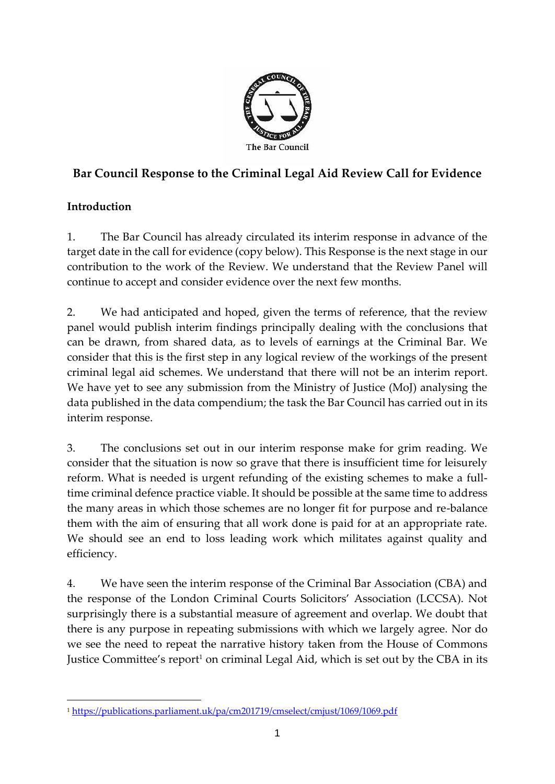

# **Bar Council Response to the Criminal Legal Aid Review Call for Evidence**

## **Introduction**

1. The Bar Council has already circulated its interim response in advance of the target date in the call for evidence (copy below). This Response is the next stage in our contribution to the work of the Review. We understand that the Review Panel will continue to accept and consider evidence over the next few months.

2. We had anticipated and hoped, given the terms of reference, that the review panel would publish interim findings principally dealing with the conclusions that can be drawn, from shared data, as to levels of earnings at the Criminal Bar. We consider that this is the first step in any logical review of the workings of the present criminal legal aid schemes. We understand that there will not be an interim report. We have yet to see any submission from the Ministry of Justice (MoJ) analysing the data published in the data compendium; the task the Bar Council has carried out in its interim response.

3. The conclusions set out in our interim response make for grim reading. We consider that the situation is now so grave that there is insufficient time for leisurely reform. What is needed is urgent refunding of the existing schemes to make a fulltime criminal defence practice viable. It should be possible at the same time to address the many areas in which those schemes are no longer fit for purpose and re-balance them with the aim of ensuring that all work done is paid for at an appropriate rate. We should see an end to loss leading work which militates against quality and efficiency.

4. We have seen the interim response of the Criminal Bar Association (CBA) and the response of the London Criminal Courts Solicitors' Association (LCCSA). Not surprisingly there is a substantial measure of agreement and overlap. We doubt that there is any purpose in repeating submissions with which we largely agree. Nor do we see the need to repeat the narrative history taken from the House of Commons Justice Committee's report<sup>1</sup> on criminal Legal Aid, which is set out by the CBA in its

<sup>1</sup> <https://publications.parliament.uk/pa/cm201719/cmselect/cmjust/1069/1069.pdf>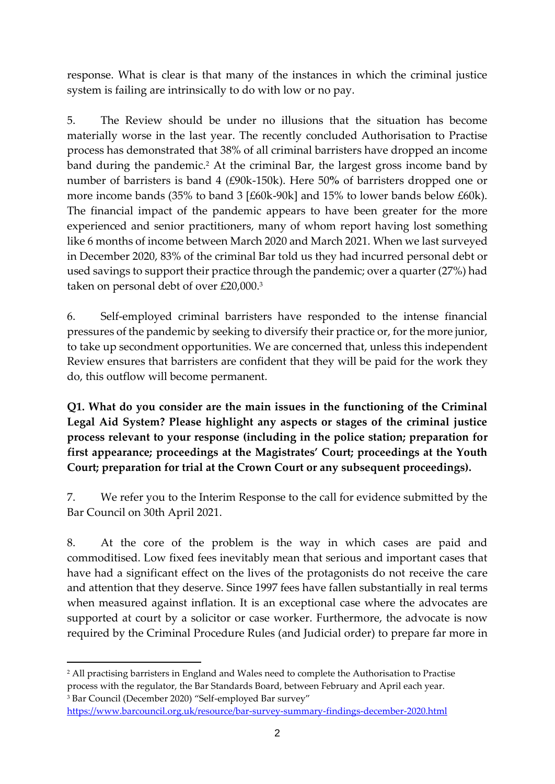response. What is clear is that many of the instances in which the criminal justice system is failing are intrinsically to do with low or no pay.

5. The Review should be under no illusions that the situation has become materially worse in the last year. The recently concluded Authorisation to Practise process has demonstrated that 38% of all criminal barristers have dropped an income band during the pandemic. <sup>2</sup> At the criminal Bar, the largest gross income band by number of barristers is band 4 (£90k-150k). Here 50**%** of barristers dropped one or more income bands (35% to band 3 [£60k-90k] and 15% to lower bands below £60k). The financial impact of the pandemic appears to have been greater for the more experienced and senior practitioners, many of whom report having lost something like 6 months of income between March 2020 and March 2021. When we last surveyed in December 2020, 83% of the criminal Bar told us they had incurred personal debt or used savings to support their practice through the pandemic; over a quarter (27%) had taken on personal debt of over £20,000.<sup>3</sup>

6. Self-employed criminal barristers have responded to the intense financial pressures of the pandemic by seeking to diversify their practice or, for the more junior, to take up secondment opportunities. We are concerned that, unless this independent Review ensures that barristers are confident that they will be paid for the work they do, this outflow will become permanent.

**Q1. What do you consider are the main issues in the functioning of the Criminal Legal Aid System? Please highlight any aspects or stages of the criminal justice process relevant to your response (including in the police station; preparation for first appearance; proceedings at the Magistrates' Court; proceedings at the Youth Court; preparation for trial at the Crown Court or any subsequent proceedings).**

7. We refer you to the Interim Response to the call for evidence submitted by the Bar Council on 30th April 2021.

8. At the core of the problem is the way in which cases are paid and commoditised. Low fixed fees inevitably mean that serious and important cases that have had a significant effect on the lives of the protagonists do not receive the care and attention that they deserve. Since 1997 fees have fallen substantially in real terms when measured against inflation. It is an exceptional case where the advocates are supported at court by a solicitor or case worker. Furthermore, the advocate is now required by the Criminal Procedure Rules (and Judicial order) to prepare far more in

<sup>&</sup>lt;sup>2</sup> All practising barristers in England and Wales need to complete the Authorisation to Practise process with the regulator, the Bar Standards Board, between February and April each year. <sup>3</sup> Bar Council (December 2020) "Self-employed Bar survey"

<https://www.barcouncil.org.uk/resource/bar-survey-summary-findings-december-2020.html>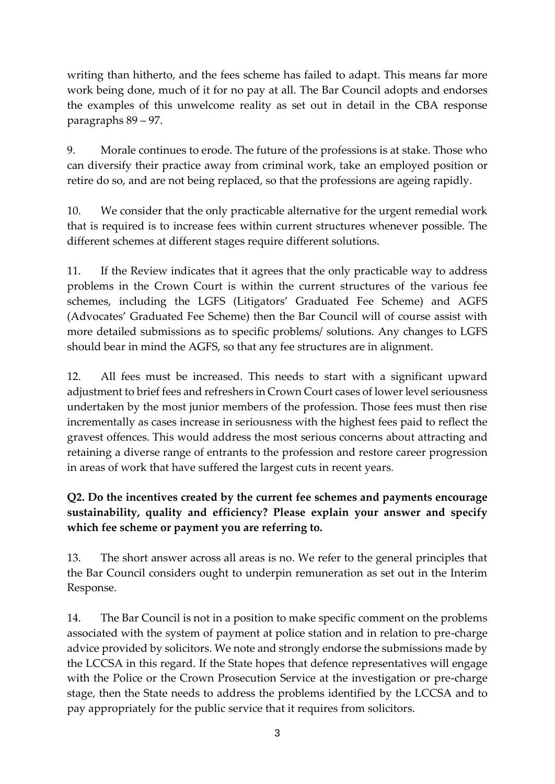writing than hitherto, and the fees scheme has failed to adapt. This means far more work being done, much of it for no pay at all. The Bar Council adopts and endorses the examples of this unwelcome reality as set out in detail in the CBA response paragraphs 89 – 97.

9. Morale continues to erode. The future of the professions is at stake. Those who can diversify their practice away from criminal work, take an employed position or retire do so, and are not being replaced, so that the professions are ageing rapidly.

10. We consider that the only practicable alternative for the urgent remedial work that is required is to increase fees within current structures whenever possible. The different schemes at different stages require different solutions.

11. If the Review indicates that it agrees that the only practicable way to address problems in the Crown Court is within the current structures of the various fee schemes, including the LGFS (Litigators' Graduated Fee Scheme) and AGFS (Advocates' Graduated Fee Scheme) then the Bar Council will of course assist with more detailed submissions as to specific problems/ solutions. Any changes to LGFS should bear in mind the AGFS, so that any fee structures are in alignment.

12. All fees must be increased. This needs to start with a significant upward adjustment to brief fees and refreshers in Crown Court cases of lower level seriousness undertaken by the most junior members of the profession. Those fees must then rise incrementally as cases increase in seriousness with the highest fees paid to reflect the gravest offences. This would address the most serious concerns about attracting and retaining a diverse range of entrants to the profession and restore career progression in areas of work that have suffered the largest cuts in recent years*.*

## **Q2. Do the incentives created by the current fee schemes and payments encourage sustainability, quality and efficiency? Please explain your answer and specify which fee scheme or payment you are referring to.**

13. The short answer across all areas is no. We refer to the general principles that the Bar Council considers ought to underpin remuneration as set out in the Interim Response.

14. The Bar Council is not in a position to make specific comment on the problems associated with the system of payment at police station and in relation to pre-charge advice provided by solicitors. We note and strongly endorse the submissions made by the LCCSA in this regard. If the State hopes that defence representatives will engage with the Police or the Crown Prosecution Service at the investigation or pre-charge stage, then the State needs to address the problems identified by the LCCSA and to pay appropriately for the public service that it requires from solicitors.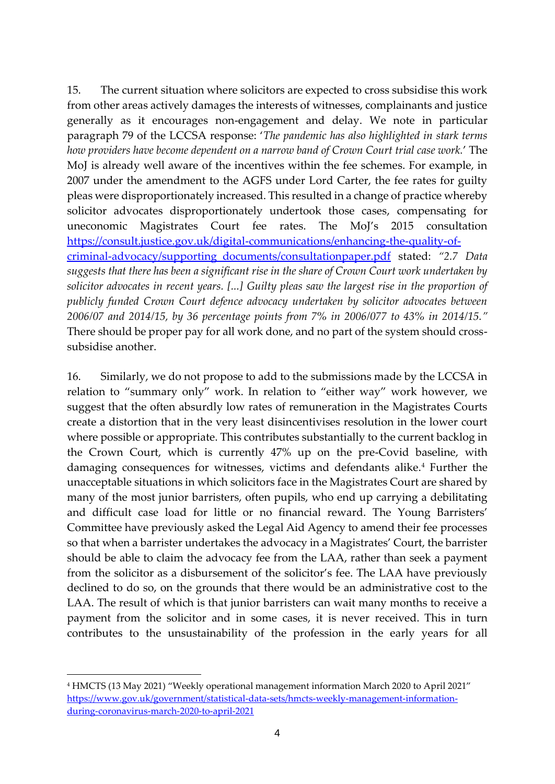15. The current situation where solicitors are expected to cross subsidise this work from other areas actively damages the interests of witnesses, complainants and justice generally as it encourages non-engagement and delay. We note in particular paragraph 79 of the LCCSA response: '*The pandemic has also highlighted in stark terms how providers have become dependent on a narrow band of Crown Court trial case work.*' The MoJ is already well aware of the incentives within the fee schemes. For example, in 2007 under the amendment to the AGFS under Lord Carter, the fee rates for guilty pleas were disproportionately increased. This resulted in a change of practice whereby solicitor advocates disproportionately undertook those cases, compensating for uneconomic Magistrates Court fee rates. The MoJ's 2015 consultation [https://consult.justice.gov.uk/digital-communications/enhancing-the-quality-of](https://consult.justice.gov.uk/digital-communications/enhancing-the-quality-of-criminal-advocacy/supporting_documents/consultationpaper.pdf)[criminal-advocacy/supporting\\_documents/consultationpaper.pdf](https://consult.justice.gov.uk/digital-communications/enhancing-the-quality-of-criminal-advocacy/supporting_documents/consultationpaper.pdf) stated: *"2.7 Data suggests that there has been a significant rise in the share of Crown Court work undertaken by solicitor advocates in recent years. [...] Guilty pleas saw the largest rise in the proportion of publicly funded Crown Court defence advocacy undertaken by solicitor advocates between 2006/07 and 2014/15, by 36 percentage points from 7% in 2006/077 to 43% in 2014/15."* There should be proper pay for all work done, and no part of the system should crosssubsidise another.

16. Similarly, we do not propose to add to the submissions made by the LCCSA in relation to "summary only" work. In relation to "either way" work however, we suggest that the often absurdly low rates of remuneration in the Magistrates Courts create a distortion that in the very least disincentivises resolution in the lower court where possible or appropriate. This contributes substantially to the current backlog in the Crown Court, which is currently 47% up on the pre-Covid baseline, with damaging consequences for witnesses, victims and defendants alike.<sup>4</sup> Further the unacceptable situations in which solicitors face in the Magistrates Court are shared by many of the most junior barristers, often pupils, who end up carrying a debilitating and difficult case load for little or no financial reward. The Young Barristers' Committee have previously asked the Legal Aid Agency to amend their fee processes so that when a barrister undertakes the advocacy in a Magistrates' Court, the barrister should be able to claim the advocacy fee from the LAA, rather than seek a payment from the solicitor as a disbursement of the solicitor's fee. The LAA have previously declined to do so, on the grounds that there would be an administrative cost to the LAA. The result of which is that junior barristers can wait many months to receive a payment from the solicitor and in some cases, it is never received. This in turn contributes to the unsustainability of the profession in the early years for all

<sup>4</sup> HMCTS (13 May 2021) "Weekly operational management information March 2020 to April 2021" [https://www.gov.uk/government/statistical-data-sets/hmcts-weekly-management-information](https://www.gov.uk/government/statistical-data-sets/hmcts-weekly-management-information-during-coronavirus-march-2020-to-april-2021)[during-coronavirus-march-2020-to-april-2021](https://www.gov.uk/government/statistical-data-sets/hmcts-weekly-management-information-during-coronavirus-march-2020-to-april-2021)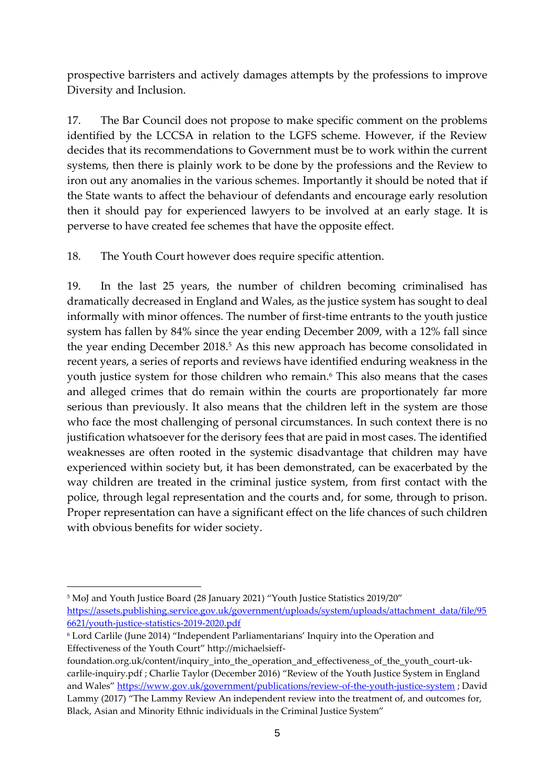prospective barristers and actively damages attempts by the professions to improve Diversity and Inclusion.

17. The Bar Council does not propose to make specific comment on the problems identified by the LCCSA in relation to the LGFS scheme. However, if the Review decides that its recommendations to Government must be to work within the current systems, then there is plainly work to be done by the professions and the Review to iron out any anomalies in the various schemes. Importantly it should be noted that if the State wants to affect the behaviour of defendants and encourage early resolution then it should pay for experienced lawyers to be involved at an early stage. It is perverse to have created fee schemes that have the opposite effect.

18. The Youth Court however does require specific attention.

19. In the last 25 years, the number of children becoming criminalised has dramatically decreased in England and Wales, as the justice system has sought to deal informally with minor offences. The number of first-time entrants to the youth justice system has fallen by 84% since the year ending December 2009, with a 12% fall since the year ending December 2018.<sup>5</sup> As this new approach has become consolidated in recent years, a series of reports and reviews have identified enduring weakness in the youth justice system for those children who remain.<sup>6</sup> This also means that the cases and alleged crimes that do remain within the courts are proportionately far more serious than previously. It also means that the children left in the system are those who face the most challenging of personal circumstances. In such context there is no justification whatsoever for the derisory fees that are paid in most cases. The identified weaknesses are often rooted in the systemic disadvantage that children may have experienced within society but, it has been demonstrated, can be exacerbated by the way children are treated in the criminal justice system, from first contact with the police, through legal representation and the courts and, for some, through to prison. Proper representation can have a significant effect on the life chances of such children with obvious benefits for wider society.

<sup>5</sup> MoJ and Youth Justice Board (28 January 2021) "Youth Justice Statistics 2019/20" [https://assets.publishing.service.gov.uk/government/uploads/system/uploads/attachment\\_data/file/95](https://assets.publishing.service.gov.uk/government/uploads/system/uploads/attachment_data/file/956621/youth-justice-statistics-2019-2020.pdf) [6621/youth-justice-statistics-2019-2020.pdf](https://assets.publishing.service.gov.uk/government/uploads/system/uploads/attachment_data/file/956621/youth-justice-statistics-2019-2020.pdf)

<sup>6</sup> Lord Carlile (June 2014) "Independent Parliamentarians' Inquiry into the Operation and Effectiveness of the Youth Court" http://michaelsieff-

foundation.org.uk/content/inquiry\_into\_the\_operation\_and\_effectiveness\_of\_the\_youth\_court-ukcarlile-inquiry.pdf ; Charlie Taylor (December 2016) "Review of the Youth Justice System in England and Wales" <https://www.gov.uk/government/publications/review-of-the-youth-justice-system> ; David Lammy (2017) "The Lammy Review An independent review into the treatment of, and outcomes for, Black, Asian and Minority Ethnic individuals in the Criminal Justice System"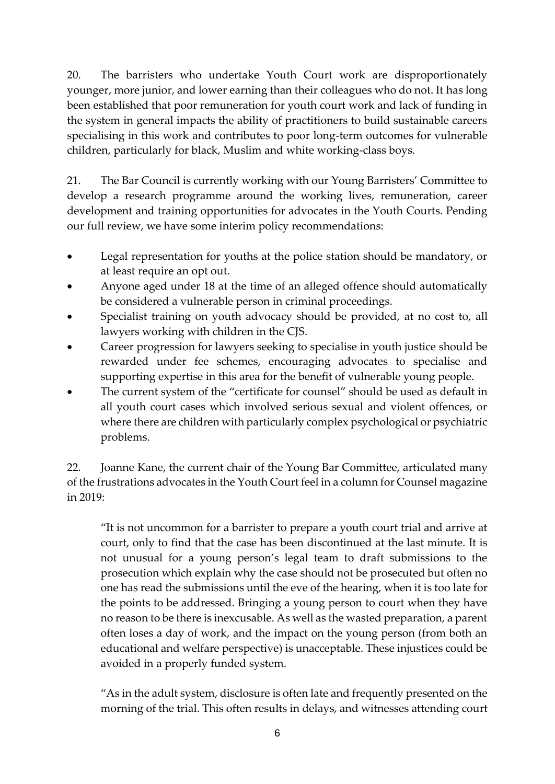20. The barristers who undertake Youth Court work are disproportionately younger, more junior, and lower earning than their colleagues who do not. It has long been established that poor remuneration for youth court work and lack of funding in the system in general impacts the ability of practitioners to build sustainable careers specialising in this work and contributes to poor long-term outcomes for vulnerable children, particularly for black, Muslim and white working-class boys.

21. The Bar Council is currently working with our Young Barristers' Committee to develop a research programme around the working lives, remuneration, career development and training opportunities for advocates in the Youth Courts. Pending our full review, we have some interim policy recommendations:

- Legal representation for youths at the police station should be mandatory, or at least require an opt out.
- Anyone aged under 18 at the time of an alleged offence should automatically be considered a vulnerable person in criminal proceedings.
- Specialist training on youth advocacy should be provided, at no cost to, all lawyers working with children in the CJS.
- Career progression for lawyers seeking to specialise in youth justice should be rewarded under fee schemes, encouraging advocates to specialise and supporting expertise in this area for the benefit of vulnerable young people.
- The current system of the "certificate for counsel" should be used as default in all youth court cases which involved serious sexual and violent offences, or where there are children with particularly complex psychological or psychiatric problems.

22. Joanne Kane, the current chair of the Young Bar Committee, articulated many of the frustrations advocates in the Youth Court feel in a column for Counsel magazine in 2019:

"It is not uncommon for a barrister to prepare a youth court trial and arrive at court, only to find that the case has been discontinued at the last minute. It is not unusual for a young person's legal team to draft submissions to the prosecution which explain why the case should not be prosecuted but often no one has read the submissions until the eve of the hearing, when it is too late for the points to be addressed. Bringing a young person to court when they have no reason to be there is inexcusable. As well as the wasted preparation, a parent often loses a day of work, and the impact on the young person (from both an educational and welfare perspective) is unacceptable. These injustices could be avoided in a properly funded system.

"As in the adult system, disclosure is often late and frequently presented on the morning of the trial. This often results in delays, and witnesses attending court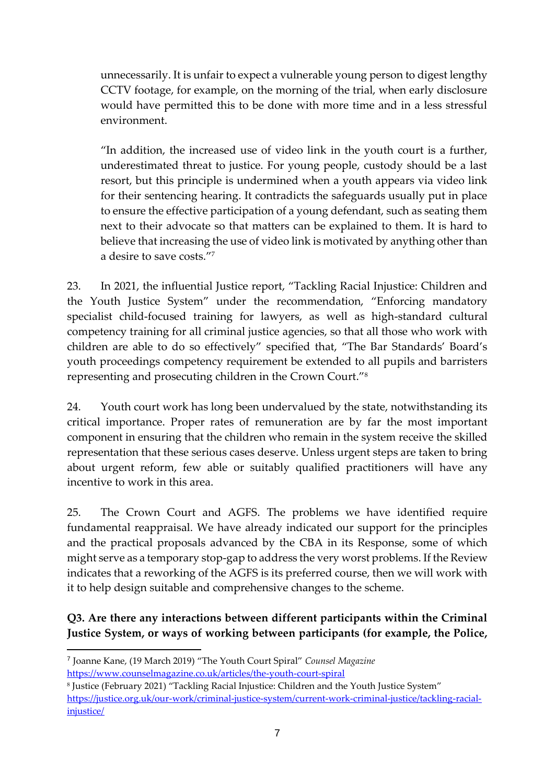unnecessarily. It is unfair to expect a vulnerable young person to digest lengthy CCTV footage, for example, on the morning of the trial, when early disclosure would have permitted this to be done with more time and in a less stressful environment.

"In addition, the increased use of video link in the youth court is a further, underestimated threat to justice. For young people, custody should be a last resort, but this principle is undermined when a youth appears via video link for their sentencing hearing. It contradicts the safeguards usually put in place to ensure the effective participation of a young defendant, such as seating them next to their advocate so that matters can be explained to them. It is hard to believe that increasing the use of video link is motivated by anything other than a desire to save costs."<sup>7</sup>

23. In 2021, the influential Justice report, "Tackling Racial Injustice: Children and the Youth Justice System" under the recommendation, "Enforcing mandatory specialist child-focused training for lawyers, as well as high-standard cultural competency training for all criminal justice agencies, so that all those who work with children are able to do so effectively" specified that, "The Bar Standards' Board's youth proceedings competency requirement be extended to all pupils and barristers representing and prosecuting children in the Crown Court."<sup>8</sup>

24. Youth court work has long been undervalued by the state, notwithstanding its critical importance. Proper rates of remuneration are by far the most important component in ensuring that the children who remain in the system receive the skilled representation that these serious cases deserve. Unless urgent steps are taken to bring about urgent reform, few able or suitably qualified practitioners will have any incentive to work in this area.

25. The Crown Court and AGFS. The problems we have identified require fundamental reappraisal. We have already indicated our support for the principles and the practical proposals advanced by the CBA in its Response, some of which might serve as a temporary stop-gap to address the very worst problems. If the Review indicates that a reworking of the AGFS is its preferred course, then we will work with it to help design suitable and comprehensive changes to the scheme.

**Q3. Are there any interactions between different participants within the Criminal Justice System, or ways of working between participants (for example, the Police,** 

<sup>7</sup> Joanne Kane, (19 March 2019) "The Youth Court Spiral" *Counsel Magazine*  <https://www.counselmagazine.co.uk/articles/the-youth-court-spiral>

<sup>8</sup> Justice (February 2021) "Tackling Racial Injustice: Children and the Youth Justice System" [https://justice.org.uk/our-work/criminal-justice-system/current-work-criminal-justice/tackling-racial](https://justice.org.uk/our-work/criminal-justice-system/current-work-criminal-justice/tackling-racial-injustice/)[injustice/](https://justice.org.uk/our-work/criminal-justice-system/current-work-criminal-justice/tackling-racial-injustice/)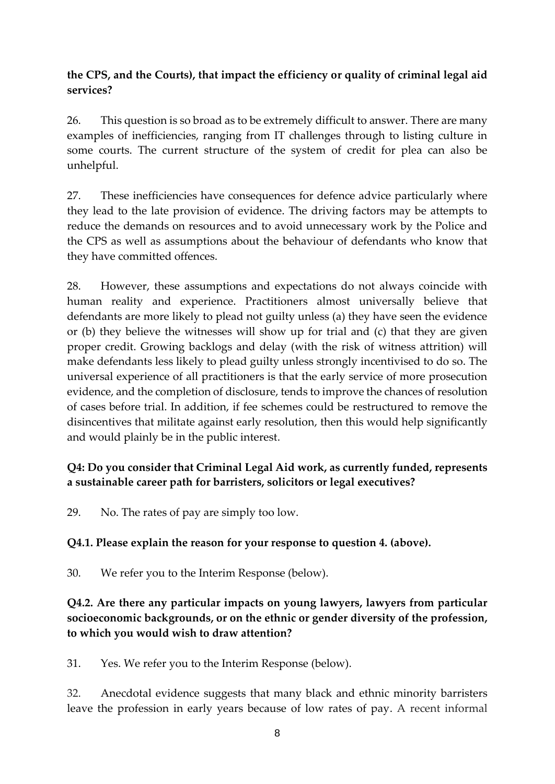### **the CPS, and the Courts), that impact the efficiency or quality of criminal legal aid services?**

26. This question is so broad as to be extremely difficult to answer. There are many examples of inefficiencies, ranging from IT challenges through to listing culture in some courts. The current structure of the system of credit for plea can also be unhelpful.

27. These inefficiencies have consequences for defence advice particularly where they lead to the late provision of evidence. The driving factors may be attempts to reduce the demands on resources and to avoid unnecessary work by the Police and the CPS as well as assumptions about the behaviour of defendants who know that they have committed offences.

28. However, these assumptions and expectations do not always coincide with human reality and experience. Practitioners almost universally believe that defendants are more likely to plead not guilty unless (a) they have seen the evidence or (b) they believe the witnesses will show up for trial and (c) that they are given proper credit. Growing backlogs and delay (with the risk of witness attrition) will make defendants less likely to plead guilty unless strongly incentivised to do so. The universal experience of all practitioners is that the early service of more prosecution evidence, and the completion of disclosure, tends to improve the chances of resolution of cases before trial. In addition, if fee schemes could be restructured to remove the disincentives that militate against early resolution, then this would help significantly and would plainly be in the public interest.

### **Q4: Do you consider that Criminal Legal Aid work, as currently funded, represents a sustainable career path for barristers, solicitors or legal executives?**

29. No. The rates of pay are simply too low.

### **Q4.1. Please explain the reason for your response to question 4. (above).**

30. We refer you to the Interim Response (below).

### **Q4.2. Are there any particular impacts on young lawyers, lawyers from particular socioeconomic backgrounds, or on the ethnic or gender diversity of the profession, to which you would wish to draw attention?**

31. Yes. We refer you to the Interim Response (below).

32. Anecdotal evidence suggests that many black and ethnic minority barristers leave the profession in early years because of low rates of pay. A recent informal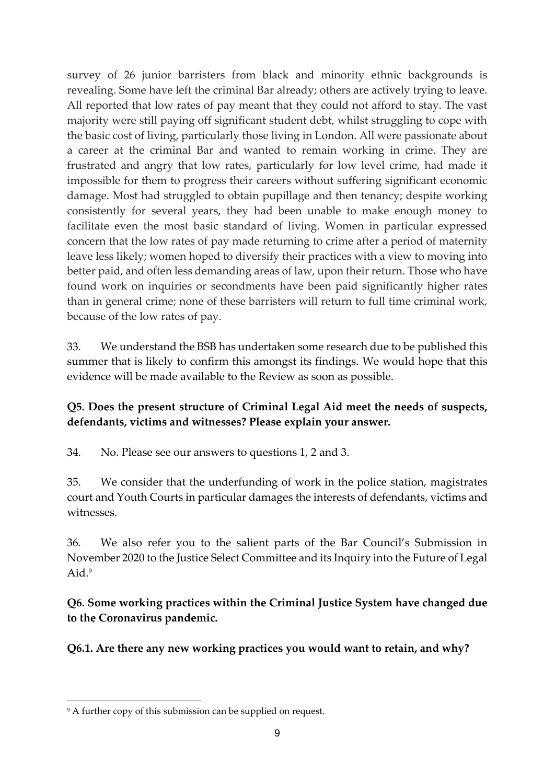survey of 26 junior barristers from black and minority ethnic backgrounds is revealing. Some have left the criminal Bar already; others are actively trying to leave. All reported that low rates of pay meant that they could not afford to stay. The vast majority were still paying off significant student debt, whilst struggling to cope with the basic cost of living, particularly those living in London. All were passionate about a career at the criminal Bar and wanted to remain working in crime. They are frustrated and angry that low rates, particularly for low level crime, had made it impossible for them to progress their careers without suffering significant economic damage. Most had struggled to obtain pupillage and then tenancy; despite working consistently for several years, they had been unable to make enough money to facilitate even the most basic standard of living. Women in particular expressed concern that the low rates of pay made returning to crime after a period of maternity leave less likely; women hoped to diversify their practices with a view to moving into better paid, and often less demanding areas of law, upon their return. Those who have found work on inquiries or secondments have been paid significantly higher rates than in general crime; none of these barristers will return to full time criminal work, because of the low rates of pay.

33. We understand the BSB has undertaken some research due to be published this summer that is likely to confirm this amongst its findings. We would hope that this evidence will be made available to the Review as soon as possible.

### **Q5. Does the present structure of Criminal Legal Aid meet the needs of suspects, defendants, victims and witnesses? Please explain your answer.**

34. No. Please see our answers to questions 1, 2 and 3.

35. We consider that the underfunding of work in the police station, magistrates court and Youth Courts in particular damages the interests of defendants, victims and witnesses.

36. We also refer you to the salient parts of the Bar Council's Submission in November 2020 to the Justice Select Committee and its Inquiry into the Future of Legal Aid.<sup>9</sup>

**Q6. Some working practices within the Criminal Justice System have changed due to the Coronavirus pandemic.**

**Q6.1. Are there any new working practices you would want to retain, and why?**

<sup>&</sup>lt;sup>9</sup> A further copy of this submission can be supplied on request.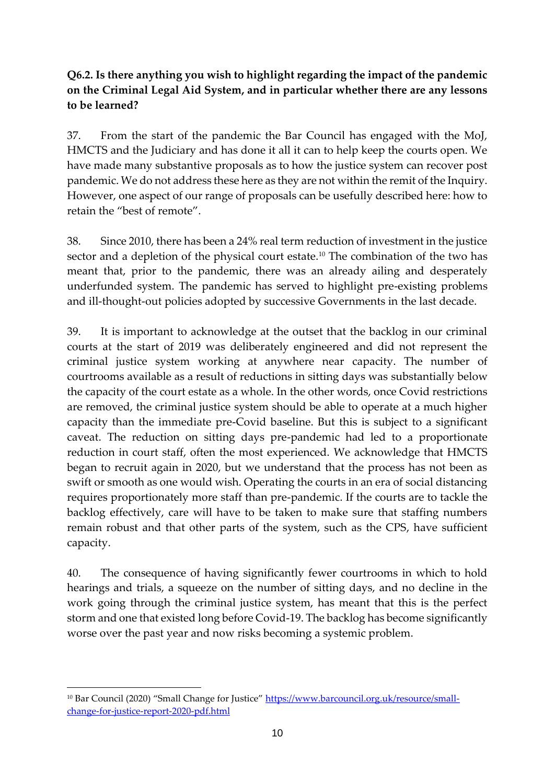## **Q6.2. Is there anything you wish to highlight regarding the impact of the pandemic on the Criminal Legal Aid System, and in particular whether there are any lessons to be learned?**

37. From the start of the pandemic the Bar Council has engaged with the MoJ, HMCTS and the Judiciary and has done it all it can to help keep the courts open. We have made many substantive proposals as to how the justice system can recover post pandemic. We do not address these here as they are not within the remit of the Inquiry. However, one aspect of our range of proposals can be usefully described here: how to retain the "best of remote".

38. Since 2010, there has been a 24% real term reduction of investment in the justice sector and a depletion of the physical court estate.<sup>10</sup> The combination of the two has meant that, prior to the pandemic, there was an already ailing and desperately underfunded system. The pandemic has served to highlight pre-existing problems and ill-thought-out policies adopted by successive Governments in the last decade.

39. It is important to acknowledge at the outset that the backlog in our criminal courts at the start of 2019 was deliberately engineered and did not represent the criminal justice system working at anywhere near capacity. The number of courtrooms available as a result of reductions in sitting days was substantially below the capacity of the court estate as a whole. In the other words, once Covid restrictions are removed, the criminal justice system should be able to operate at a much higher capacity than the immediate pre-Covid baseline. But this is subject to a significant caveat. The reduction on sitting days pre-pandemic had led to a proportionate reduction in court staff, often the most experienced. We acknowledge that HMCTS began to recruit again in 2020, but we understand that the process has not been as swift or smooth as one would wish. Operating the courts in an era of social distancing requires proportionately more staff than pre-pandemic. If the courts are to tackle the backlog effectively, care will have to be taken to make sure that staffing numbers remain robust and that other parts of the system, such as the CPS, have sufficient capacity.

40. The consequence of having significantly fewer courtrooms in which to hold hearings and trials, a squeeze on the number of sitting days, and no decline in the work going through the criminal justice system, has meant that this is the perfect storm and one that existed long before Covid-19. The backlog has become significantly worse over the past year and now risks becoming a systemic problem.

<sup>&</sup>lt;sup>10</sup> Bar Council (2020) "Small Change for Justice" [https://www.barcouncil.org.uk/resource/small](https://www.barcouncil.org.uk/resource/small-change-for-justice-report-2020-pdf.html)[change-for-justice-report-2020-pdf.html](https://www.barcouncil.org.uk/resource/small-change-for-justice-report-2020-pdf.html)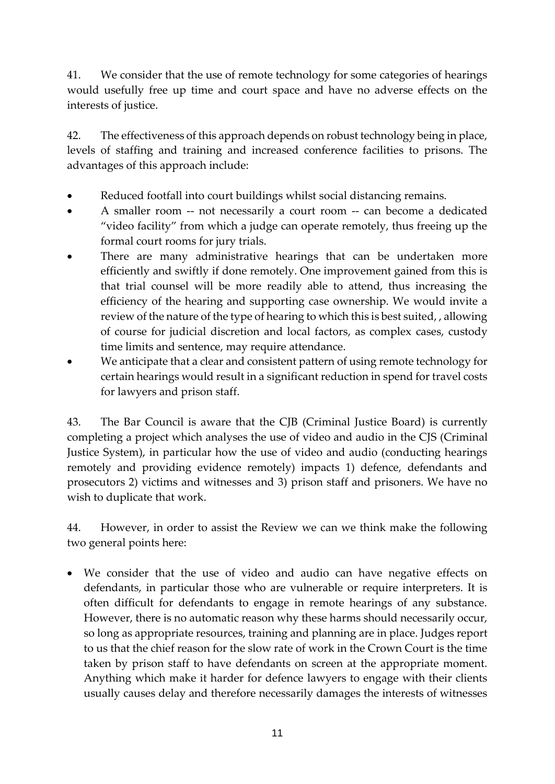41. We consider that the use of remote technology for some categories of hearings would usefully free up time and court space and have no adverse effects on the interests of justice.

42. The effectiveness of this approach depends on robust technology being in place, levels of staffing and training and increased conference facilities to prisons. The advantages of this approach include:

- Reduced footfall into court buildings whilst social distancing remains.
- A smaller room -- not necessarily a court room -- can become a dedicated "video facility" from which a judge can operate remotely, thus freeing up the formal court rooms for jury trials.
- There are many administrative hearings that can be undertaken more efficiently and swiftly if done remotely. One improvement gained from this is that trial counsel will be more readily able to attend, thus increasing the efficiency of the hearing and supporting case ownership. We would invite a review of the nature of the type of hearing to which this is best suited, , allowing of course for judicial discretion and local factors, as complex cases, custody time limits and sentence, may require attendance.
- We anticipate that a clear and consistent pattern of using remote technology for certain hearings would result in a significant reduction in spend for travel costs for lawyers and prison staff.

43. The Bar Council is aware that the CJB (Criminal Justice Board) is currently completing a project which analyses the use of video and audio in the CJS (Criminal Justice System), in particular how the use of video and audio (conducting hearings remotely and providing evidence remotely) impacts 1) defence, defendants and prosecutors 2) victims and witnesses and 3) prison staff and prisoners. We have no wish to duplicate that work.

44. However, in order to assist the Review we can we think make the following two general points here:

• We consider that the use of video and audio can have negative effects on defendants, in particular those who are vulnerable or require interpreters. It is often difficult for defendants to engage in remote hearings of any substance. However, there is no automatic reason why these harms should necessarily occur, so long as appropriate resources, training and planning are in place. Judges report to us that the chief reason for the slow rate of work in the Crown Court is the time taken by prison staff to have defendants on screen at the appropriate moment. Anything which make it harder for defence lawyers to engage with their clients usually causes delay and therefore necessarily damages the interests of witnesses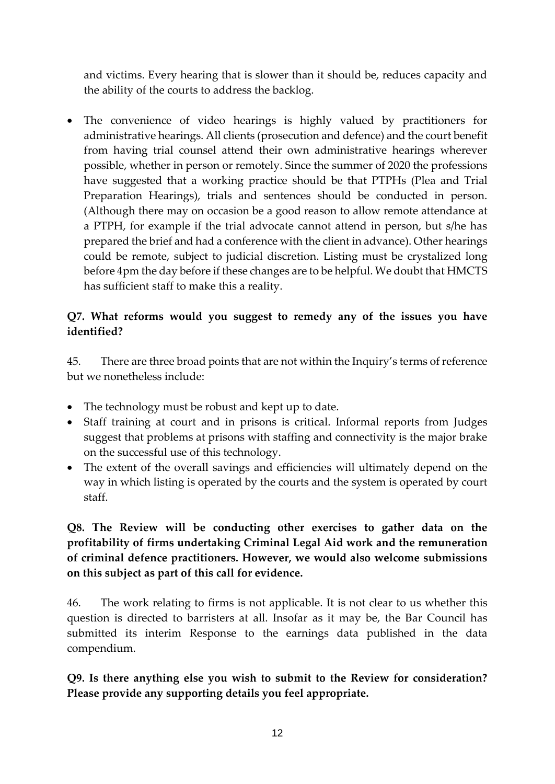and victims. Every hearing that is slower than it should be, reduces capacity and the ability of the courts to address the backlog.

• The convenience of video hearings is highly valued by practitioners for administrative hearings. All clients (prosecution and defence) and the court benefit from having trial counsel attend their own administrative hearings wherever possible, whether in person or remotely. Since the summer of 2020 the professions have suggested that a working practice should be that PTPHs (Plea and Trial Preparation Hearings), trials and sentences should be conducted in person. (Although there may on occasion be a good reason to allow remote attendance at a PTPH, for example if the trial advocate cannot attend in person, but s/he has prepared the brief and had a conference with the client in advance). Other hearings could be remote, subject to judicial discretion. Listing must be crystalized long before 4pm the day before if these changes are to be helpful. We doubt that HMCTS has sufficient staff to make this a reality.

### **Q7. What reforms would you suggest to remedy any of the issues you have identified?**

45. There are three broad points that are not within the Inquiry's terms of reference but we nonetheless include:

- The technology must be robust and kept up to date.
- Staff training at court and in prisons is critical. Informal reports from Judges suggest that problems at prisons with staffing and connectivity is the major brake on the successful use of this technology.
- The extent of the overall savings and efficiencies will ultimately depend on the way in which listing is operated by the courts and the system is operated by court staff.

## **Q8. The Review will be conducting other exercises to gather data on the profitability of firms undertaking Criminal Legal Aid work and the remuneration of criminal defence practitioners. However, we would also welcome submissions on this subject as part of this call for evidence.**

46. The work relating to firms is not applicable. It is not clear to us whether this question is directed to barristers at all. Insofar as it may be, the Bar Council has submitted its interim Response to the earnings data published in the data compendium.

**Q9. Is there anything else you wish to submit to the Review for consideration? Please provide any supporting details you feel appropriate.**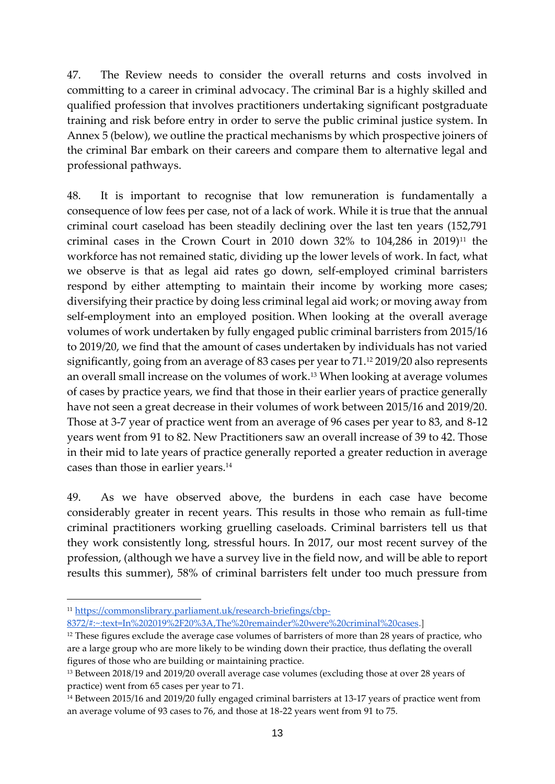47. The Review needs to consider the overall returns and costs involved in committing to a career in criminal advocacy. The criminal Bar is a highly skilled and qualified profession that involves practitioners undertaking significant postgraduate training and risk before entry in order to serve the public criminal justice system. In Annex 5 (below), we outline the practical mechanisms by which prospective joiners of the criminal Bar embark on their careers and compare them to alternative legal and professional pathways.

48. It is important to recognise that low remuneration is fundamentally a consequence of low fees per case, not of a lack of work. While it is true that the annual criminal court caseload has been steadily declining over the last ten years (152,791 criminal cases in the Crown Court in 2010 down 32% to  $104,286$  in 2019)<sup>11</sup> the workforce has not remained static, dividing up the lower levels of work. In fact, what we observe is that as legal aid rates go down, self-employed criminal barristers respond by either attempting to maintain their income by working more cases; diversifying their practice by doing less criminal legal aid work; or moving away from self-employment into an employed position. When looking at the overall average volumes of work undertaken by fully engaged public criminal barristers from 2015/16 to 2019/20, we find that the amount of cases undertaken by individuals has not varied significantly, going from an average of 83 cases per year to 71.<sup>12</sup> 2019/20 also represents an overall small increase on the volumes of work.<sup>13</sup> When looking at average volumes of cases by practice years, we find that those in their earlier years of practice generally have not seen a great decrease in their volumes of work between 2015/16 and 2019/20. Those at 3-7 year of practice went from an average of 96 cases per year to 83, and 8-12 years went from 91 to 82. New Practitioners saw an overall increase of 39 to 42. Those in their mid to late years of practice generally reported a greater reduction in average cases than those in earlier years.<sup>14</sup>

49. As we have observed above, the burdens in each case have become considerably greater in recent years. This results in those who remain as full-time criminal practitioners working gruelling caseloads. Criminal barristers tell us that they work consistently long, stressful hours. In 2017, our most recent survey of the profession, (although we have a survey live in the field now, and will be able to report results this summer), 58% of criminal barristers felt under too much pressure from

<sup>11</sup> [https://commonslibrary.parliament.uk/research-briefings/cbp-](https://commonslibrary.parliament.uk/research-briefings/cbp-8372/#:~:text=In%202019%2F20%3A,The%20remainder%20were%20criminal%20cases)

[<sup>8372/#:~:</sup>text=In%202019%2F20%3A,The%20remainder%20were%20criminal%20cases.](https://commonslibrary.parliament.uk/research-briefings/cbp-8372/#:~:text=In%202019%2F20%3A,The%20remainder%20were%20criminal%20cases)]

<sup>&</sup>lt;sup>12</sup> These figures exclude the average case volumes of barristers of more than 28 years of practice, who are a large group who are more likely to be winding down their practice, thus deflating the overall figures of those who are building or maintaining practice.

<sup>&</sup>lt;sup>13</sup> Between 2018/19 and 2019/20 overall average case volumes (excluding those at over 28 years of practice) went from 65 cases per year to 71.

<sup>14</sup> Between 2015/16 and 2019/20 fully engaged criminal barristers at 13-17 years of practice went from an average volume of 93 cases to 76, and those at 18-22 years went from 91 to 75.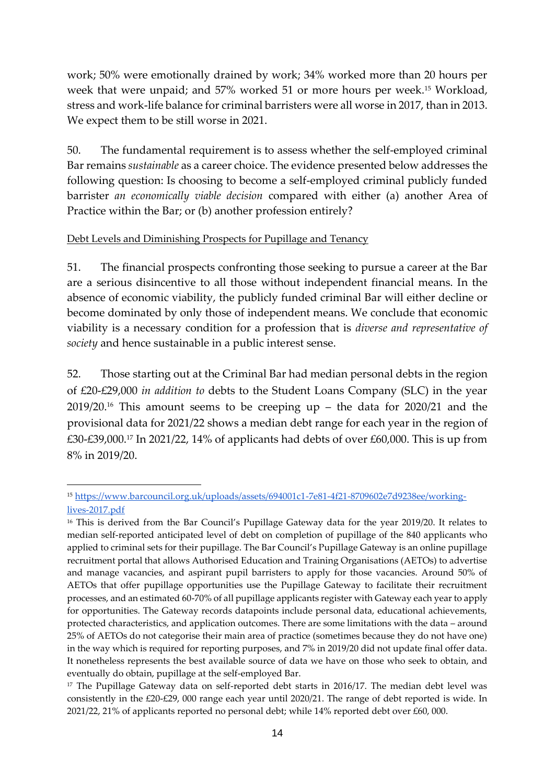work; 50% were emotionally drained by work; 34% worked more than 20 hours per week that were unpaid; and 57% worked 51 or more hours per week.<sup>15</sup> Workload, stress and work-life balance for criminal barristers were all worse in 2017, than in 2013. We expect them to be still worse in 2021.

50. The fundamental requirement is to assess whether the self-employed criminal Bar remains *sustainable* as a career choice. The evidence presented below addresses the following question: Is choosing to become a self-employed criminal publicly funded barrister *an economically viable decision* compared with either (a) another Area of Practice within the Bar; or (b) another profession entirely?

#### Debt Levels and Diminishing Prospects for Pupillage and Tenancy

51. The financial prospects confronting those seeking to pursue a career at the Bar are a serious disincentive to all those without independent financial means. In the absence of economic viability, the publicly funded criminal Bar will either decline or become dominated by only those of independent means. We conclude that economic viability is a necessary condition for a profession that is *diverse and representative of society* and hence sustainable in a public interest sense.

52. Those starting out at the Criminal Bar had median personal debts in the region of £20-£29,000 *in addition to* debts to the Student Loans Company (SLC) in the year  $2019/20$ .<sup>16</sup> This amount seems to be creeping up – the data for  $2020/21$  and the provisional data for 2021/22 shows a median debt range for each year in the region of £30-£39,000.<sup>17</sup> In 2021/22, 14% of applicants had debts of over £60,000. This is up from 8% in 2019/20.

<sup>15</sup> [https://www.barcouncil.org.uk/uploads/assets/694001c1-7e81-4f21-8709602e7d9238ee/working](https://www.barcouncil.org.uk/uploads/assets/694001c1-7e81-4f21-8709602e7d9238ee/working-lives-2017.pdf)[lives-2017.pdf](https://www.barcouncil.org.uk/uploads/assets/694001c1-7e81-4f21-8709602e7d9238ee/working-lives-2017.pdf)

<sup>&</sup>lt;sup>16</sup> This is derived from the Bar Council's Pupillage Gateway data for the year 2019/20. It relates to median self-reported anticipated level of debt on completion of pupillage of the 840 applicants who applied to criminal sets for their pupillage. The Bar Council's Pupillage Gateway is an online pupillage recruitment portal that allows Authorised Education and Training Organisations (AETOs) to advertise and manage vacancies, and aspirant pupil barristers to apply for those vacancies. Around 50% of AETOs that offer pupillage opportunities use the Pupillage Gateway to facilitate their recruitment processes, and an estimated 60-70% of all pupillage applicants register with Gateway each year to apply for opportunities. The Gateway records datapoints include personal data, educational achievements, protected characteristics, and application outcomes. There are some limitations with the data – around 25% of AETOs do not categorise their main area of practice (sometimes because they do not have one) in the way which is required for reporting purposes, and 7% in 2019/20 did not update final offer data. It nonetheless represents the best available source of data we have on those who seek to obtain, and eventually do obtain, pupillage at the self-employed Bar.

<sup>&</sup>lt;sup>17</sup> The Pupillage Gateway data on self-reported debt starts in 2016/17. The median debt level was consistently in the £20-£29, 000 range each year until 2020/21. The range of debt reported is wide. In 2021/22, 21% of applicants reported no personal debt; while 14% reported debt over £60, 000.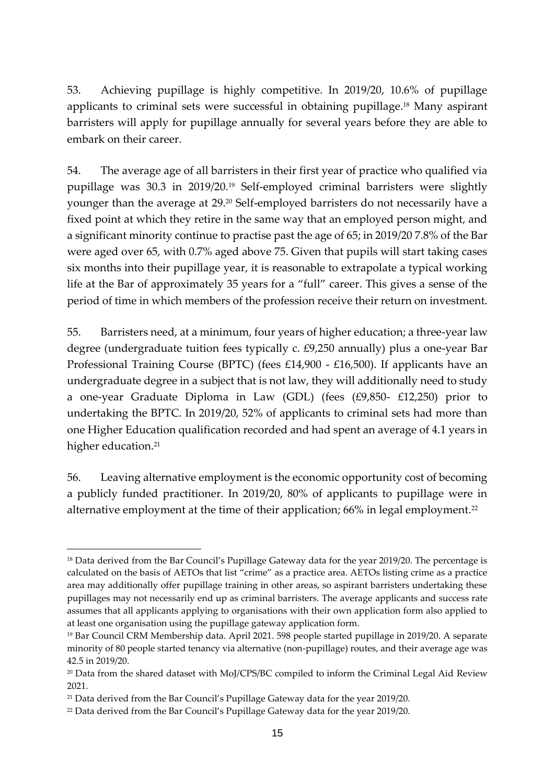53. Achieving pupillage is highly competitive. In 2019/20, 10.6% of pupillage applicants to criminal sets were successful in obtaining pupillage.<sup>18</sup> Many aspirant barristers will apply for pupillage annually for several years before they are able to embark on their career.

54. The average age of all barristers in their first year of practice who qualified via pupillage was 30.3 in 2019/20.<sup>19</sup> Self-employed criminal barristers were slightly younger than the average at 29. <sup>20</sup> Self-employed barristers do not necessarily have a fixed point at which they retire in the same way that an employed person might, and a significant minority continue to practise past the age of 65; in 2019/20 7.8% of the Bar were aged over 65, with 0.7% aged above 75. Given that pupils will start taking cases six months into their pupillage year, it is reasonable to extrapolate a typical working life at the Bar of approximately 35 years for a "full" career. This gives a sense of the period of time in which members of the profession receive their return on investment.

55. Barristers need, at a minimum, four years of higher education; a three-year law degree (undergraduate tuition fees typically c. £9,250 annually) plus a one-year Bar Professional Training Course (BPTC) (fees £14,900 - £16,500). If applicants have an undergraduate degree in a subject that is not law, they will additionally need to study a one-year Graduate Diploma in Law (GDL) (fees (£9,850- £12,250) prior to undertaking the BPTC. In 2019/20, 52% of applicants to criminal sets had more than one Higher Education qualification recorded and had spent an average of 4.1 years in higher education.<sup>21</sup>

56. Leaving alternative employment is the economic opportunity cost of becoming a publicly funded practitioner. In 2019/20, 80% of applicants to pupillage were in alternative employment at the time of their application; 66% in legal employment.<sup>22</sup>

<sup>&</sup>lt;sup>18</sup> Data derived from the Bar Council's Pupillage Gateway data for the year 2019/20. The percentage is calculated on the basis of AETOs that list "crime" as a practice area. AETOs listing crime as a practice area may additionally offer pupillage training in other areas, so aspirant barristers undertaking these pupillages may not necessarily end up as criminal barristers. The average applicants and success rate assumes that all applicants applying to organisations with their own application form also applied to at least one organisation using the pupillage gateway application form.

<sup>19</sup> Bar Council CRM Membership data. April 2021. 598 people started pupillage in 2019/20. A separate minority of 80 people started tenancy via alternative (non-pupillage) routes, and their average age was 42.5 in 2019/20.

<sup>&</sup>lt;sup>20</sup> Data from the shared dataset with MoJ/CPS/BC compiled to inform the Criminal Legal Aid Review 2021.

<sup>21</sup> Data derived from the Bar Council's Pupillage Gateway data for the year 2019/20.

<sup>22</sup> Data derived from the Bar Council's Pupillage Gateway data for the year 2019/20.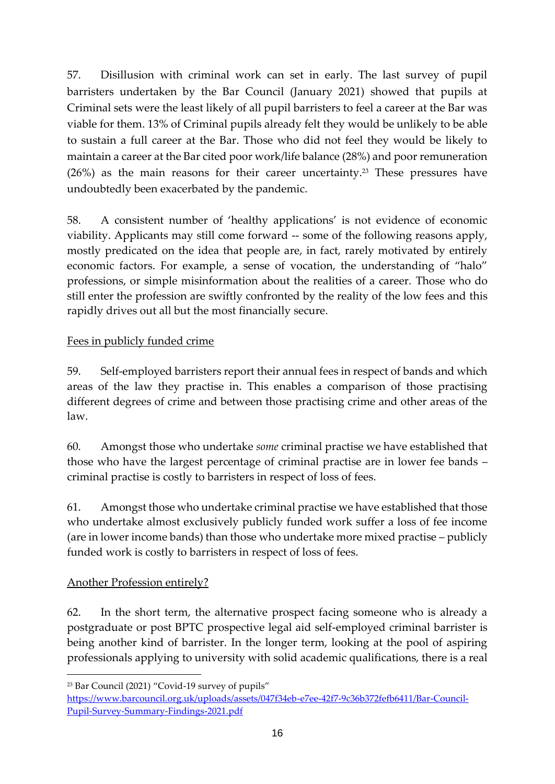57. Disillusion with criminal work can set in early. The last survey of pupil barristers undertaken by the Bar Council (January 2021) showed that pupils at Criminal sets were the least likely of all pupil barristers to feel a career at the Bar was viable for them. 13% of Criminal pupils already felt they would be unlikely to be able to sustain a full career at the Bar. Those who did not feel they would be likely to maintain a career at the Bar cited poor work/life balance (28%) and poor remuneration (26%) as the main reasons for their career uncertainty.<sup>23</sup> These pressures have undoubtedly been exacerbated by the pandemic.

58. A consistent number of 'healthy applications' is not evidence of economic viability. Applicants may still come forward -- some of the following reasons apply, mostly predicated on the idea that people are, in fact, rarely motivated by entirely economic factors. For example, a sense of vocation, the understanding of "halo" professions, or simple misinformation about the realities of a career. Those who do still enter the profession are swiftly confronted by the reality of the low fees and this rapidly drives out all but the most financially secure.

## Fees in publicly funded crime

59. Self-employed barristers report their annual fees in respect of bands and which areas of the law they practise in. This enables a comparison of those practising different degrees of crime and between those practising crime and other areas of the law.

60. Amongst those who undertake *some* criminal practise we have established that those who have the largest percentage of criminal practise are in lower fee bands – criminal practise is costly to barristers in respect of loss of fees.

61. Amongst those who undertake criminal practise we have established that those who undertake almost exclusively publicly funded work suffer a loss of fee income (are in lower income bands) than those who undertake more mixed practise – publicly funded work is costly to barristers in respect of loss of fees.

### Another Profession entirely?

62. In the short term, the alternative prospect facing someone who is already a postgraduate or post BPTC prospective legal aid self-employed criminal barrister is being another kind of barrister. In the longer term, looking at the pool of aspiring professionals applying to university with solid academic qualifications, there is a real

<sup>23</sup> Bar Council (2021) "Covid-19 survey of pupils"

[https://www.barcouncil.org.uk/uploads/assets/047f34eb-e7ee-42f7-9c36b372fefb6411/Bar-Council-](https://www.barcouncil.org.uk/uploads/assets/047f34eb-e7ee-42f7-9c36b372fefb6411/Bar-Council-Pupil-Survey-Summary-Findings-2021.pdf)[Pupil-Survey-Summary-Findings-2021.pdf](https://www.barcouncil.org.uk/uploads/assets/047f34eb-e7ee-42f7-9c36b372fefb6411/Bar-Council-Pupil-Survey-Summary-Findings-2021.pdf)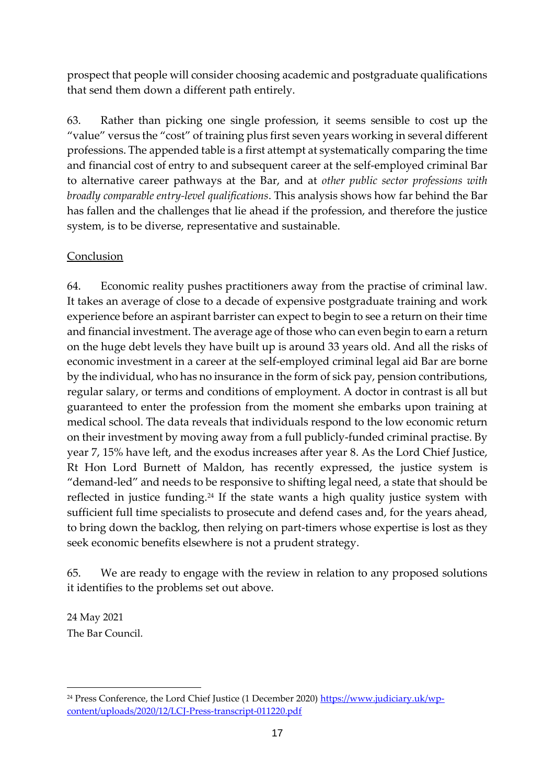prospect that people will consider choosing academic and postgraduate qualifications that send them down a different path entirely.

63. Rather than picking one single profession, it seems sensible to cost up the "value" versus the "cost" of training plus first seven years working in several different professions. The appended table is a first attempt at systematically comparing the time and financial cost of entry to and subsequent career at the self-employed criminal Bar to alternative career pathways at the Bar, and at *other public sector professions with broadly comparable entry-level qualifications*. This analysis shows how far behind the Bar has fallen and the challenges that lie ahead if the profession, and therefore the justice system, is to be diverse, representative and sustainable.

### Conclusion

64. Economic reality pushes practitioners away from the practise of criminal law. It takes an average of close to a decade of expensive postgraduate training and work experience before an aspirant barrister can expect to begin to see a return on their time and financial investment. The average age of those who can even begin to earn a return on the huge debt levels they have built up is around 33 years old. And all the risks of economic investment in a career at the self-employed criminal legal aid Bar are borne by the individual, who has no insurance in the form of sick pay, pension contributions, regular salary, or terms and conditions of employment. A doctor in contrast is all but guaranteed to enter the profession from the moment she embarks upon training at medical school. The data reveals that individuals respond to the low economic return on their investment by moving away from a full publicly-funded criminal practise. By year 7, 15% have left, and the exodus increases after year 8. As the Lord Chief Justice, Rt Hon Lord Burnett of Maldon, has recently expressed, the justice system is "demand-led" and needs to be responsive to shifting legal need, a state that should be reflected in justice funding.<sup>24</sup> If the state wants a high quality justice system with sufficient full time specialists to prosecute and defend cases and, for the years ahead, to bring down the backlog, then relying on part-timers whose expertise is lost as they seek economic benefits elsewhere is not a prudent strategy.

65. We are ready to engage with the review in relation to any proposed solutions it identifies to the problems set out above.

24 May 2021 The Bar Council.

<sup>&</sup>lt;sup>24</sup> Press Conference, the Lord Chief Justice (1 December 2020) [https://www.judiciary.uk/wp](https://www.judiciary.uk/wp-content/uploads/2020/12/LCJ-Press-transcript-011220.pdf)[content/uploads/2020/12/LCJ-Press-transcript-011220.pdf](https://www.judiciary.uk/wp-content/uploads/2020/12/LCJ-Press-transcript-011220.pdf)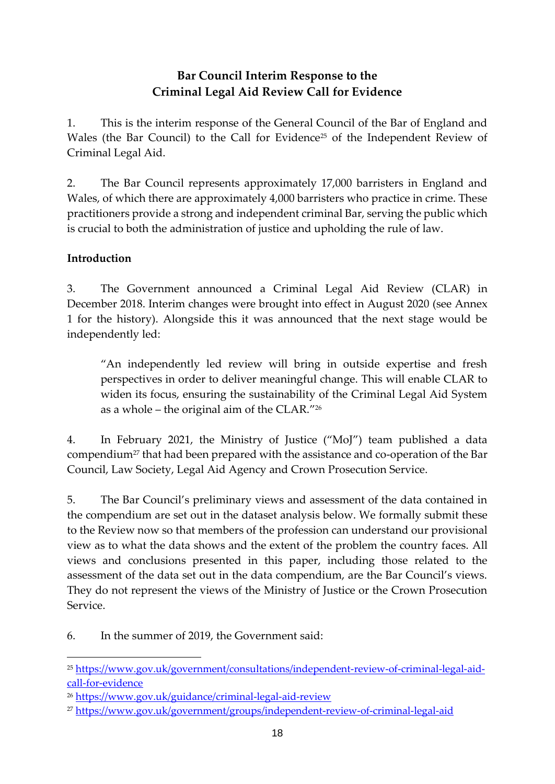## **Bar Council Interim Response to the Criminal Legal Aid Review Call for Evidence**

1. This is the interim response of the General Council of the Bar of England and Wales (the Bar Council) to the Call for Evidence<sup>25</sup> of the Independent Review of Criminal Legal Aid.

2. The Bar Council represents approximately 17,000 barristers in England and Wales, of which there are approximately 4,000 barristers who practice in crime. These practitioners provide a strong and independent criminal Bar, serving the public which is crucial to both the administration of justice and upholding the rule of law.

## **Introduction**

3. The Government announced a Criminal Legal Aid Review (CLAR) in December 2018. Interim changes were brought into effect in August 2020 (see Annex 1 for the history). Alongside this it was announced that the next stage would be independently led:

"An independently led review will bring in outside expertise and fresh perspectives in order to deliver meaningful change. This will enable CLAR to widen its focus, ensuring the sustainability of the Criminal Legal Aid System as a whole – the original aim of the CLAR." 26

4. In February 2021, the Ministry of Justice ("MoJ") team published a data compendium<sup>27</sup> that had been prepared with the assistance and co-operation of the Bar Council, Law Society, Legal Aid Agency and Crown Prosecution Service.

5. The Bar Council's preliminary views and assessment of the data contained in the compendium are set out in the dataset analysis below. We formally submit these to the Review now so that members of the profession can understand our provisional view as to what the data shows and the extent of the problem the country faces. All views and conclusions presented in this paper, including those related to the assessment of the data set out in the data compendium, are the Bar Council's views. They do not represent the views of the Ministry of Justice or the Crown Prosecution Service.

6. In the summer of 2019, the Government said:

<sup>25</sup> [https://www.gov.uk/government/consultations/independent-review-of-criminal-legal-aid](https://www.gov.uk/government/consultations/independent-review-of-criminal-legal-aid-call-for-evidence)[call-for-evidence](https://www.gov.uk/government/consultations/independent-review-of-criminal-legal-aid-call-for-evidence)

<sup>26</sup> <https://www.gov.uk/guidance/criminal-legal-aid-review>

<sup>27</sup> <https://www.gov.uk/government/groups/independent-review-of-criminal-legal-aid>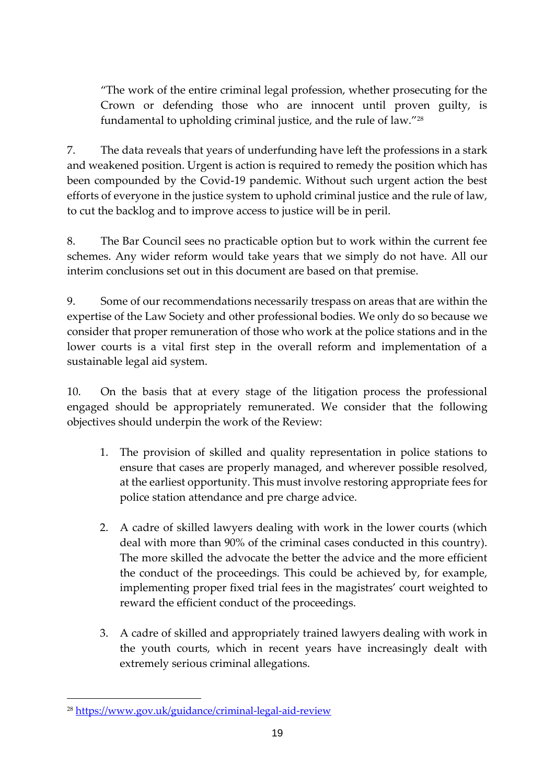"The work of the entire criminal legal profession, whether prosecuting for the Crown or defending those who are innocent until proven guilty, is fundamental to upholding criminal justice, and the rule of law." 28

7. The data reveals that years of underfunding have left the professions in a stark and weakened position. Urgent is action is required to remedy the position which has been compounded by the Covid-19 pandemic. Without such urgent action the best efforts of everyone in the justice system to uphold criminal justice and the rule of law, to cut the backlog and to improve access to justice will be in peril.

8. The Bar Council sees no practicable option but to work within the current fee schemes. Any wider reform would take years that we simply do not have. All our interim conclusions set out in this document are based on that premise.

9. Some of our recommendations necessarily trespass on areas that are within the expertise of the Law Society and other professional bodies. We only do so because we consider that proper remuneration of those who work at the police stations and in the lower courts is a vital first step in the overall reform and implementation of a sustainable legal aid system.

10. On the basis that at every stage of the litigation process the professional engaged should be appropriately remunerated. We consider that the following objectives should underpin the work of the Review:

- 1. The provision of skilled and quality representation in police stations to ensure that cases are properly managed, and wherever possible resolved, at the earliest opportunity. This must involve restoring appropriate fees for police station attendance and pre charge advice.
- 2. A cadre of skilled lawyers dealing with work in the lower courts (which deal with more than 90% of the criminal cases conducted in this country). The more skilled the advocate the better the advice and the more efficient the conduct of the proceedings. This could be achieved by, for example, implementing proper fixed trial fees in the magistrates' court weighted to reward the efficient conduct of the proceedings.
- 3. A cadre of skilled and appropriately trained lawyers dealing with work in the youth courts, which in recent years have increasingly dealt with extremely serious criminal allegations.

<sup>28</sup> <https://www.gov.uk/guidance/criminal-legal-aid-review>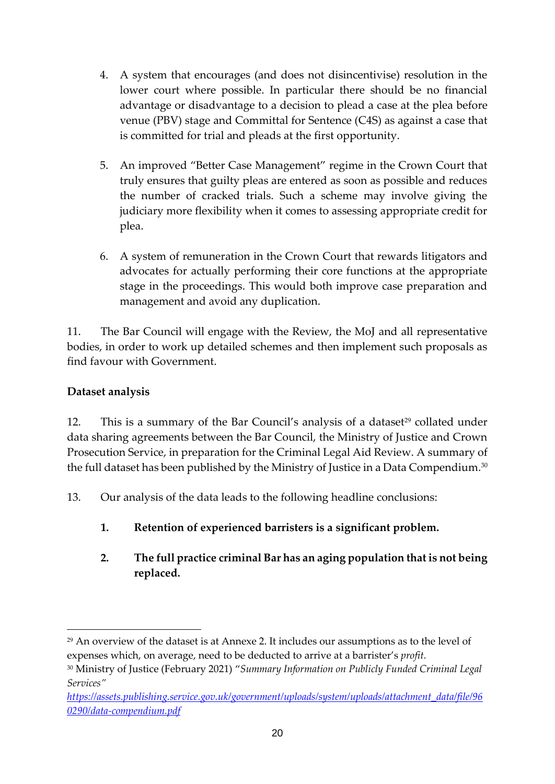- 4. A system that encourages (and does not disincentivise) resolution in the lower court where possible. In particular there should be no financial advantage or disadvantage to a decision to plead a case at the plea before venue (PBV) stage and Committal for Sentence (C4S) as against a case that is committed for trial and pleads at the first opportunity.
- 5. An improved "Better Case Management" regime in the Crown Court that truly ensures that guilty pleas are entered as soon as possible and reduces the number of cracked trials. Such a scheme may involve giving the judiciary more flexibility when it comes to assessing appropriate credit for plea.
- 6. A system of remuneration in the Crown Court that rewards litigators and advocates for actually performing their core functions at the appropriate stage in the proceedings. This would both improve case preparation and management and avoid any duplication.

11. The Bar Council will engage with the Review, the MoJ and all representative bodies, in order to work up detailed schemes and then implement such proposals as find favour with Government.

## **Dataset analysis**

12. This is a summary of the Bar Council's analysis of a dataset<sup>29</sup> collated under data sharing agreements between the Bar Council, the Ministry of Justice and Crown Prosecution Service, in preparation for the Criminal Legal Aid Review. A summary of the full dataset has been published by the Ministry of Justice in a Data Compendium.<sup>30</sup>

- 13. Our analysis of the data leads to the following headline conclusions:
	- **1. Retention of experienced barristers is a significant problem.**
	- **2. The full practice criminal Bar has an aging population that is not being replaced.**

<sup>29</sup> An overview of the dataset is at Annexe 2. It includes our assumptions as to the level of expenses which, on average, need to be deducted to arrive at a barrister's *profit.*

<sup>30</sup> Ministry of Justice (February 2021) "*Summary Information on Publicly Funded Criminal Legal Services"* 

*[https://assets.publishing.service.gov.uk/government/uploads/system/uploads/attachment\\_data/file/96](https://assets.publishing.service.gov.uk/government/uploads/system/uploads/attachment_data/file/960290/data-compendium.pdf) [0290/data-compendium.pdf](https://assets.publishing.service.gov.uk/government/uploads/system/uploads/attachment_data/file/960290/data-compendium.pdf)*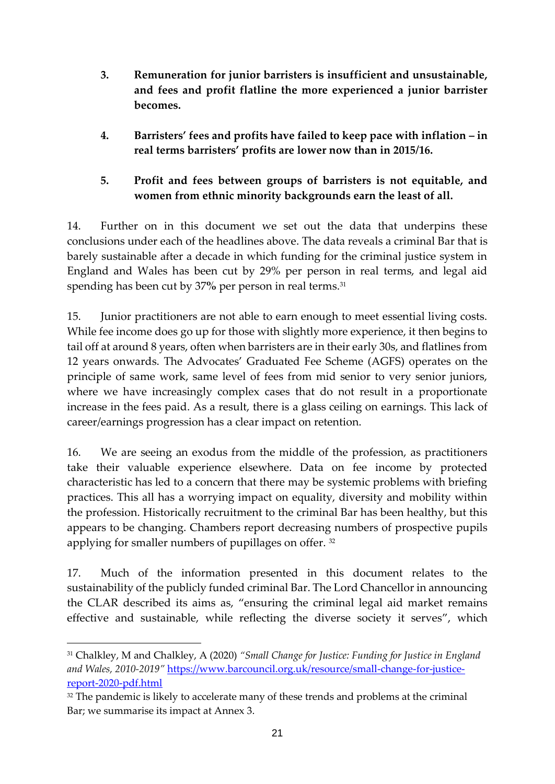- **3. Remuneration for junior barristers is insufficient and unsustainable, and fees and profit flatline the more experienced a junior barrister becomes.**
- **4. Barristers' fees and profits have failed to keep pace with inflation – in real terms barristers' profits are lower now than in 2015/16.**

## **5. Profit and fees between groups of barristers is not equitable, and women from ethnic minority backgrounds earn the least of all.**

14. Further on in this document we set out the data that underpins these conclusions under each of the headlines above. The data reveals a criminal Bar that is barely sustainable after a decade in which funding for the criminal justice system in England and Wales has been cut by 29% per person in real terms, and legal aid spending has been cut by 37% per person in real terms.<sup>31</sup>

15. Junior practitioners are not able to earn enough to meet essential living costs. While fee income does go up for those with slightly more experience, it then begins to tail off at around 8 years, often when barristers are in their early 30s, and flatlines from 12 years onwards. The Advocates' Graduated Fee Scheme (AGFS) operates on the principle of same work, same level of fees from mid senior to very senior juniors, where we have increasingly complex cases that do not result in a proportionate increase in the fees paid. As a result, there is a glass ceiling on earnings. This lack of career/earnings progression has a clear impact on retention.

16. We are seeing an exodus from the middle of the profession, as practitioners take their valuable experience elsewhere. Data on fee income by protected characteristic has led to a concern that there may be systemic problems with briefing practices. This all has a worrying impact on equality, diversity and mobility within the profession. Historically recruitment to the criminal Bar has been healthy, but this appears to be changing. Chambers report decreasing numbers of prospective pupils applying for smaller numbers of pupillages on offer. <sup>32</sup>

17. Much of the information presented in this document relates to the sustainability of the publicly funded criminal Bar. The Lord Chancellor in announcing the CLAR described its aims as, "ensuring the criminal legal aid market remains effective and sustainable, while reflecting the diverse society it serves", which

<sup>31</sup> Chalkley, M and Chalkley, A (2020) *"Small Change for Justice: Funding for Justice in England and Wales, 2010-2019"* [https://www.barcouncil.org.uk/resource/small-change-for-justice](https://www.barcouncil.org.uk/resource/small-change-for-justice-report-2020-pdf.html)[report-2020-pdf.html](https://www.barcouncil.org.uk/resource/small-change-for-justice-report-2020-pdf.html)

<sup>&</sup>lt;sup>32</sup> The pandemic is likely to accelerate many of these trends and problems at the criminal Bar; we summarise its impact at Annex 3.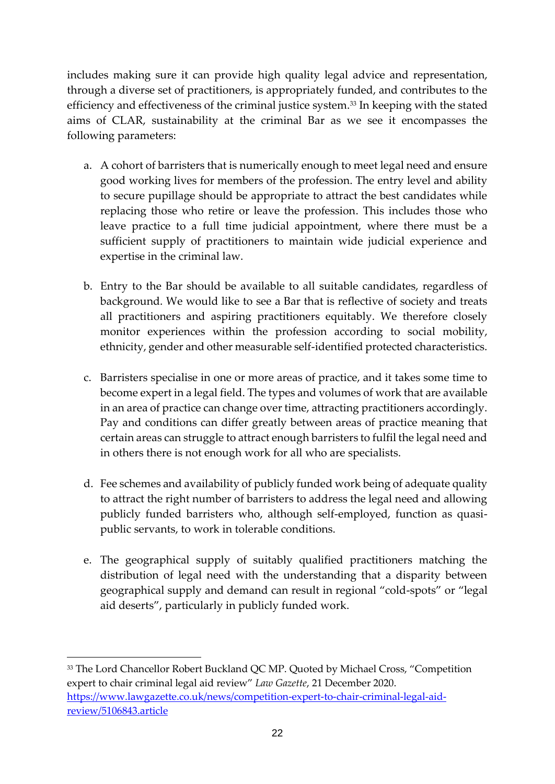includes making sure it can provide high quality legal advice and representation, through a diverse set of practitioners, is appropriately funded, and contributes to the efficiency and effectiveness of the criminal justice system.<sup>33</sup> In keeping with the stated aims of CLAR, sustainability at the criminal Bar as we see it encompasses the following parameters:

- a. A cohort of barristers that is numerically enough to meet legal need and ensure good working lives for members of the profession. The entry level and ability to secure pupillage should be appropriate to attract the best candidates while replacing those who retire or leave the profession. This includes those who leave practice to a full time judicial appointment, where there must be a sufficient supply of practitioners to maintain wide judicial experience and expertise in the criminal law.
- b. Entry to the Bar should be available to all suitable candidates, regardless of background. We would like to see a Bar that is reflective of society and treats all practitioners and aspiring practitioners equitably. We therefore closely monitor experiences within the profession according to social mobility, ethnicity, gender and other measurable self-identified protected characteristics.
- c. Barristers specialise in one or more areas of practice, and it takes some time to become expert in a legal field. The types and volumes of work that are available in an area of practice can change over time, attracting practitioners accordingly. Pay and conditions can differ greatly between areas of practice meaning that certain areas can struggle to attract enough barristers to fulfil the legal need and in others there is not enough work for all who are specialists.
- d. Fee schemes and availability of publicly funded work being of adequate quality to attract the right number of barristers to address the legal need and allowing publicly funded barristers who, although self-employed, function as quasipublic servants, to work in tolerable conditions.
- e. The geographical supply of suitably qualified practitioners matching the distribution of legal need with the understanding that a disparity between geographical supply and demand can result in regional "cold-spots" or "legal aid deserts", particularly in publicly funded work.

<sup>33</sup> The Lord Chancellor Robert Buckland QC MP. Quoted by Michael Cross, "Competition expert to chair criminal legal aid review" *Law Gazette*, 21 December 2020. [https://www.lawgazette.co.uk/news/competition-expert-to-chair-criminal-legal-aid](https://www.lawgazette.co.uk/news/competition-expert-to-chair-criminal-legal-aid-review/5106843.article)[review/5106843.article](https://www.lawgazette.co.uk/news/competition-expert-to-chair-criminal-legal-aid-review/5106843.article)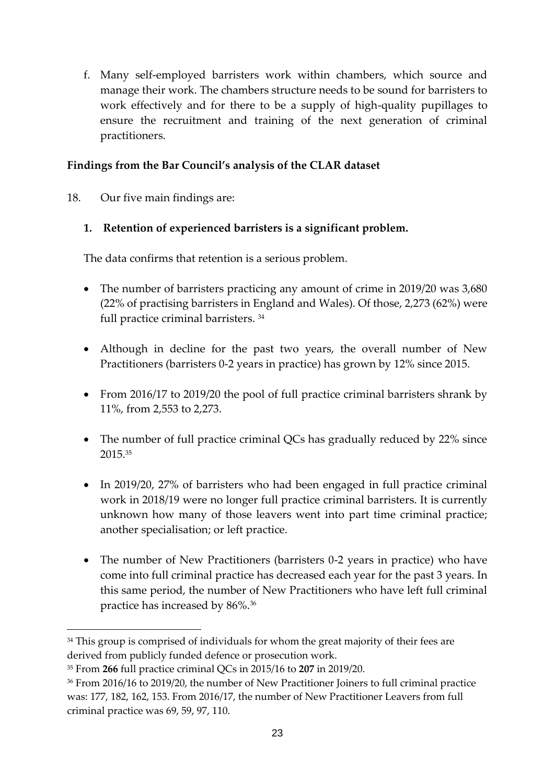f. Many self-employed barristers work within chambers, which source and manage their work. The chambers structure needs to be sound for barristers to work effectively and for there to be a supply of high-quality pupillages to ensure the recruitment and training of the next generation of criminal practitioners.

### **Findings from the Bar Council's analysis of the CLAR dataset**

18. Our five main findings are:

### **1. Retention of experienced barristers is a significant problem.**

The data confirms that retention is a serious problem.

- The number of barristers practicing any amount of crime in 2019/20 was 3,680 (22% of practising barristers in England and Wales). Of those, 2,273 (62%) were full practice criminal barristers. 34
- Although in decline for the past two years, the overall number of New Practitioners (barristers 0-2 years in practice) has grown by 12% since 2015.
- From 2016/17 to 2019/20 the pool of full practice criminal barristers shrank by 11%, from 2,553 to 2,273.
- The number of full practice criminal QCs has gradually reduced by 22% since 2015.<sup>35</sup>
- In 2019/20, 27% of barristers who had been engaged in full practice criminal work in 2018/19 were no longer full practice criminal barristers. It is currently unknown how many of those leavers went into part time criminal practice; another specialisation; or left practice.
- The number of New Practitioners (barristers 0-2 years in practice) who have come into full criminal practice has decreased each year for the past 3 years. In this same period, the number of New Practitioners who have left full criminal practice has increased by 86%.<sup>36</sup>

<sup>&</sup>lt;sup>34</sup> This group is comprised of individuals for whom the great majority of their fees are derived from publicly funded defence or prosecution work.

<sup>35</sup> From **266** full practice criminal QCs in 2015/16 to **207** in 2019/20.

<sup>36</sup> From 2016/16 to 2019/20, the number of New Practitioner Joiners to full criminal practice was: 177, 182, 162, 153. From 2016/17, the number of New Practitioner Leavers from full criminal practice was 69, 59, 97, 110.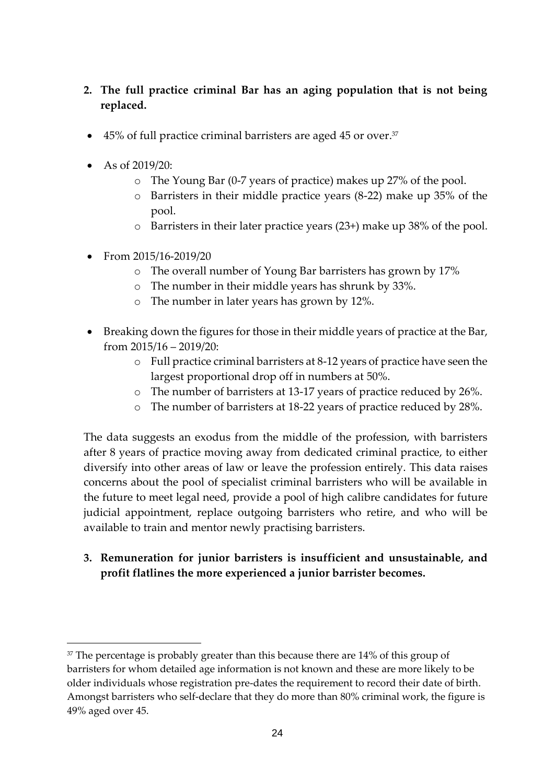### **2. The full practice criminal Bar has an aging population that is not being replaced.**

- 45% of full practice criminal barristers are aged 45 or over.<sup>37</sup>
- As of 2019/20:
	- o The Young Bar (0-7 years of practice) makes up 27% of the pool.
	- o Barristers in their middle practice years (8-22) make up 35% of the pool.
	- o Barristers in their later practice years (23+) make up 38% of the pool.
- From 2015/16-2019/20
	- o The overall number of Young Bar barristers has grown by 17%
	- o The number in their middle years has shrunk by 33%.
	- o The number in later years has grown by 12%.
- Breaking down the figures for those in their middle years of practice at the Bar, from 2015/16 – 2019/20:
	- o Full practice criminal barristers at 8-12 years of practice have seen the largest proportional drop off in numbers at 50%.
	- o The number of barristers at 13-17 years of practice reduced by 26%.
	- o The number of barristers at 18-22 years of practice reduced by 28%.

The data suggests an exodus from the middle of the profession, with barristers after 8 years of practice moving away from dedicated criminal practice, to either diversify into other areas of law or leave the profession entirely. This data raises concerns about the pool of specialist criminal barristers who will be available in the future to meet legal need, provide a pool of high calibre candidates for future judicial appointment, replace outgoing barristers who retire, and who will be available to train and mentor newly practising barristers.

**3. Remuneration for junior barristers is insufficient and unsustainable, and profit flatlines the more experienced a junior barrister becomes.**

<sup>&</sup>lt;sup>37</sup> The percentage is probably greater than this because there are 14% of this group of barristers for whom detailed age information is not known and these are more likely to be older individuals whose registration pre-dates the requirement to record their date of birth. Amongst barristers who self-declare that they do more than 80% criminal work, the figure is 49% aged over 45.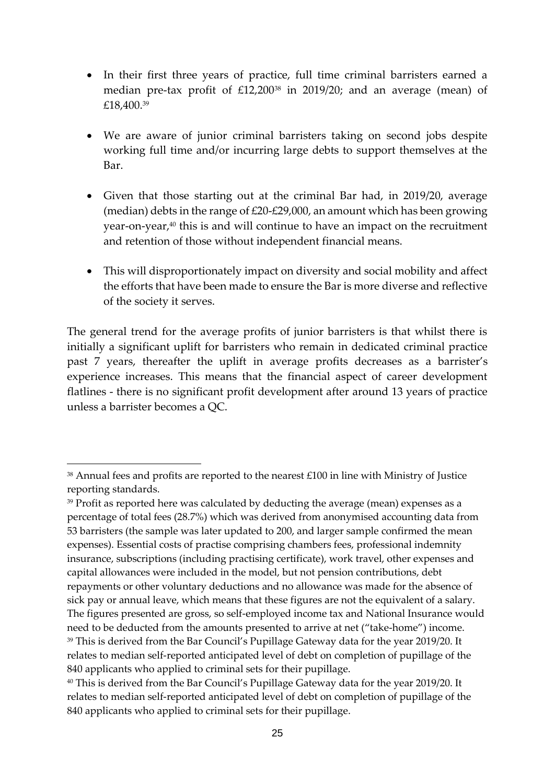- In their first three years of practice, full time criminal barristers earned a median pre-tax profit of £12,200<sup>38</sup> in 2019/20; and an average (mean) of £18,400.<sup>39</sup>
- We are aware of junior criminal barristers taking on second jobs despite working full time and/or incurring large debts to support themselves at the Bar.
- Given that those starting out at the criminal Bar had, in 2019/20, average (median) debts in the range of £20-£29,000, an amount which has been growing year-on-year, <sup>40</sup> this is and will continue to have an impact on the recruitment and retention of those without independent financial means.
- This will disproportionately impact on diversity and social mobility and affect the efforts that have been made to ensure the Bar is more diverse and reflective of the society it serves.

The general trend for the average profits of junior barristers is that whilst there is initially a significant uplift for barristers who remain in dedicated criminal practice past 7 years, thereafter the uplift in average profits decreases as a barrister's experience increases. This means that the financial aspect of career development flatlines - there is no significant profit development after around 13 years of practice unless a barrister becomes a QC.

 $38$  Annual fees and profits are reported to the nearest £100 in line with Ministry of Justice reporting standards.

<sup>&</sup>lt;sup>39</sup> Profit as reported here was calculated by deducting the average (mean) expenses as a percentage of total fees (28.7%) which was derived from anonymised accounting data from 53 barristers (the sample was later updated to 200, and larger sample confirmed the mean expenses). Essential costs of practise comprising chambers fees, professional indemnity insurance, subscriptions (including practising certificate), work travel, other expenses and capital allowances were included in the model, but not pension contributions, debt repayments or other voluntary deductions and no allowance was made for the absence of sick pay or annual leave, which means that these figures are not the equivalent of a salary. The figures presented are gross, so self-employed income tax and National Insurance would need to be deducted from the amounts presented to arrive at net ("take-home") income. <sup>39</sup> This is derived from the Bar Council's Pupillage Gateway data for the year 2019/20. It relates to median self-reported anticipated level of debt on completion of pupillage of the 840 applicants who applied to criminal sets for their pupillage.

<sup>40</sup> This is derived from the Bar Council's Pupillage Gateway data for the year 2019/20. It relates to median self-reported anticipated level of debt on completion of pupillage of the 840 applicants who applied to criminal sets for their pupillage.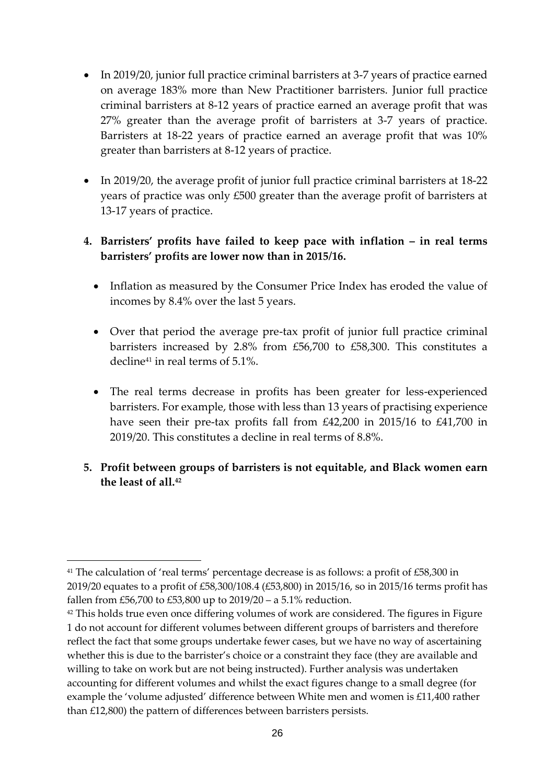- In 2019/20, junior full practice criminal barristers at 3-7 years of practice earned on average 183% more than New Practitioner barristers. Junior full practice criminal barristers at 8-12 years of practice earned an average profit that was 27% greater than the average profit of barristers at 3-7 years of practice. Barristers at 18-22 years of practice earned an average profit that was 10% greater than barristers at 8-12 years of practice.
- In 2019/20, the average profit of junior full practice criminal barristers at 18-22 years of practice was only £500 greater than the average profit of barristers at 13-17 years of practice.

### **4. Barristers' profits have failed to keep pace with inflation – in real terms barristers' profits are lower now than in 2015/16.**

- Inflation as measured by the Consumer Price Index has eroded the value of incomes by 8.4% over the last 5 years.
- Over that period the average pre-tax profit of junior full practice criminal barristers increased by 2.8% from £56,700 to £58,300. This constitutes a decline<sup>41</sup> in real terms of 5.1%.
- The real terms decrease in profits has been greater for less-experienced barristers. For example, those with less than 13 years of practising experience have seen their pre-tax profits fall from £42,200 in 2015/16 to £41,700 in 2019/20. This constitutes a decline in real terms of 8.8%.
- **5. Profit between groups of barristers is not equitable, and Black women earn the least of all.<sup>42</sup>**

<sup>&</sup>lt;sup>41</sup> The calculation of 'real terms' percentage decrease is as follows: a profit of £58,300 in 2019/20 equates to a profit of £58,300/108.4 (£53,800) in 2015/16, so in 2015/16 terms profit has fallen from £56,700 to £53,800 up to 2019/20 – a 5.1% reduction.

<sup>&</sup>lt;sup>42</sup> This holds true even once differing volumes of work are considered. The figures in Figure 1 do not account for different volumes between different groups of barristers and therefore reflect the fact that some groups undertake fewer cases, but we have no way of ascertaining whether this is due to the barrister's choice or a constraint they face (they are available and willing to take on work but are not being instructed). Further analysis was undertaken accounting for different volumes and whilst the exact figures change to a small degree (for example the 'volume adjusted' difference between White men and women is £11,400 rather than £12,800) the pattern of differences between barristers persists.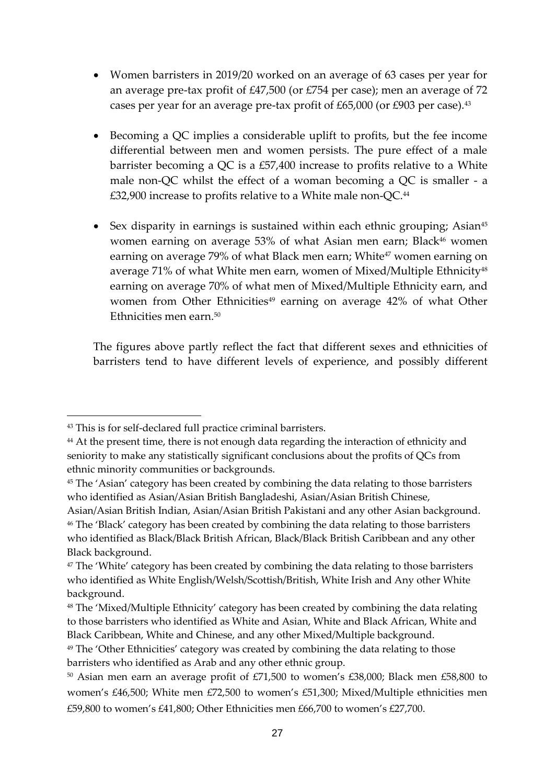- Women barristers in 2019/20 worked on an average of 63 cases per year for an average pre-tax profit of £47,500 (or £754 per case); men an average of 72 cases per year for an average pre-tax profit of £65,000 (or £903 per case).<sup>43</sup>
- Becoming a QC implies a considerable uplift to profits, but the fee income differential between men and women persists. The pure effect of a male barrister becoming a QC is a £57,400 increase to profits relative to a White male non-QC whilst the effect of a woman becoming a QC is smaller - a £32,900 increase to profits relative to a White male non-QC.<sup>44</sup>
- Sex disparity in earnings is sustained within each ethnic grouping; Asian<sup>45</sup> women earning on average 53% of what Asian men earn; Black<sup>46</sup> women earning on average 79% of what Black men earn; White<sup>47</sup> women earning on average 71% of what White men earn, women of Mixed/Multiple Ethnicity48 earning on average 70% of what men of Mixed/Multiple Ethnicity earn, and women from Other Ethnicities<sup>49</sup> earning on average 42% of what Other Ethnicities men earn. 50

The figures above partly reflect the fact that different sexes and ethnicities of barristers tend to have different levels of experience, and possibly different

<sup>43</sup> This is for self-declared full practice criminal barristers.

<sup>&</sup>lt;sup>44</sup> At the present time, there is not enough data regarding the interaction of ethnicity and seniority to make any statistically significant conclusions about the profits of QCs from ethnic minority communities or backgrounds.

<sup>&</sup>lt;sup>45</sup> The 'Asian' category has been created by combining the data relating to those barristers who identified as Asian/Asian British Bangladeshi, Asian/Asian British Chinese,

Asian/Asian British Indian, Asian/Asian British Pakistani and any other Asian background. <sup>46</sup> The 'Black' category has been created by combining the data relating to those barristers who identified as Black/Black British African, Black/Black British Caribbean and any other Black background.

<sup>&</sup>lt;sup>47</sup> The 'White' category has been created by combining the data relating to those barristers who identified as White English/Welsh/Scottish/British, White Irish and Any other White background.

<sup>48</sup> The 'Mixed/Multiple Ethnicity' category has been created by combining the data relating to those barristers who identified as White and Asian, White and Black African, White and Black Caribbean, White and Chinese, and any other Mixed/Multiple background.

<sup>&</sup>lt;sup>49</sup> The 'Other Ethnicities' category was created by combining the data relating to those barristers who identified as Arab and any other ethnic group.

<sup>50</sup> Asian men earn an average profit of £71,500 to women's £38,000; Black men £58,800 to women's £46,500; White men £72,500 to women's £51,300; Mixed/Multiple ethnicities men £59,800 to women's £41,800; Other Ethnicities men £66,700 to women's £27,700.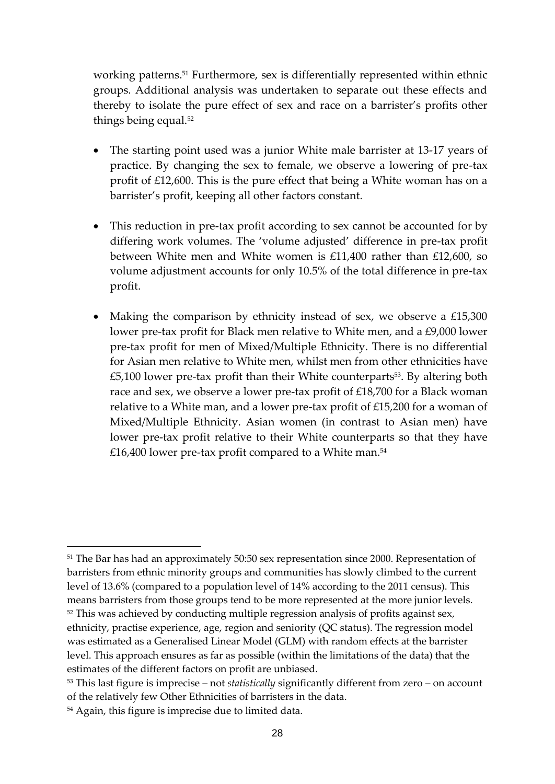working patterns. <sup>51</sup> Furthermore, sex is differentially represented within ethnic groups. Additional analysis was undertaken to separate out these effects and thereby to isolate the pure effect of sex and race on a barrister's profits other things being equal. 52

- The starting point used was a junior White male barrister at 13-17 years of practice. By changing the sex to female, we observe a lowering of pre-tax profit of £12,600. This is the pure effect that being a White woman has on a barrister's profit, keeping all other factors constant.
- This reduction in pre-tax profit according to sex cannot be accounted for by differing work volumes. The 'volume adjusted' difference in pre-tax profit between White men and White women is £11,400 rather than £12,600, so volume adjustment accounts for only 10.5% of the total difference in pre-tax profit.
- Making the comparison by ethnicity instead of sex, we observe a £15,300 lower pre-tax profit for Black men relative to White men, and a £9,000 lower pre-tax profit for men of Mixed/Multiple Ethnicity. There is no differential for Asian men relative to White men, whilst men from other ethnicities have £5,100 lower pre-tax profit than their White counterparts<sup>53</sup>. By altering both race and sex, we observe a lower pre-tax profit of £18,700 for a Black woman relative to a White man, and a lower pre-tax profit of £15,200 for a woman of Mixed/Multiple Ethnicity. Asian women (in contrast to Asian men) have lower pre-tax profit relative to their White counterparts so that they have £16,400 lower pre-tax profit compared to a White man. 54

<sup>51</sup> The Bar has had an approximately 50:50 sex representation since 2000. Representation of barristers from ethnic minority groups and communities has slowly climbed to the current level of 13.6% (compared to a population level of 14% according to the 2011 census). This means barristers from those groups tend to be more represented at the more junior levels.  $52$  This was achieved by conducting multiple regression analysis of profits against sex, ethnicity, practise experience, age, region and seniority (QC status). The regression model was estimated as a Generalised Linear Model (GLM) with random effects at the barrister level. This approach ensures as far as possible (within the limitations of the data) that the estimates of the different factors on profit are unbiased.

<sup>53</sup> This last figure is imprecise – not *statistically* significantly different from zero – on account of the relatively few Other Ethnicities of barristers in the data.

<sup>54</sup> Again, this figure is imprecise due to limited data.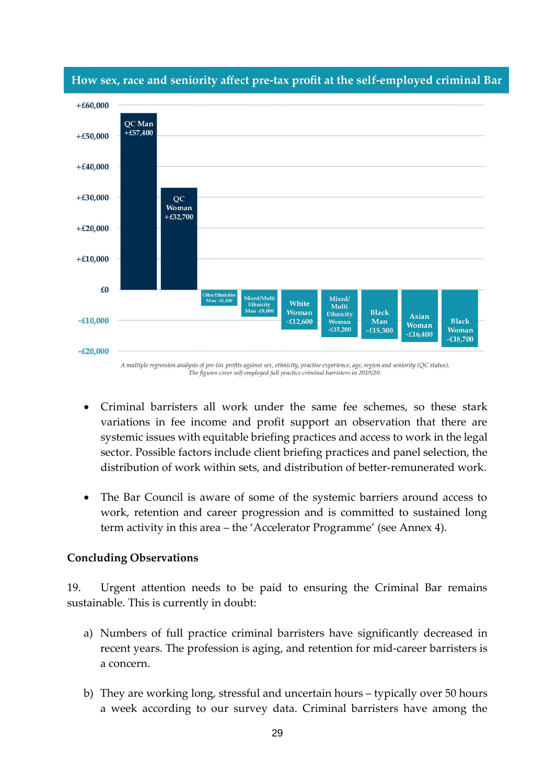

#### How sex, race and seniority affect pre-tax profit at the self-employed criminal Bar

A multiple regression analysis of pre-tax profits against sex, ethnicity, practise experience, age, region and seniority (QC status). The figures cover self-employed full practice criminal barristers in 2019/20.

- Criminal barristers all work under the same fee schemes, so these stark variations in fee income and profit support an observation that there are systemic issues with equitable briefing practices and access to work in the legal sector. Possible factors include client briefing practices and panel selection, the distribution of work within sets, and distribution of better-remunerated work.
- The Bar Council is aware of some of the systemic barriers around access to work, retention and career progression and is committed to sustained long term activity in this area – the 'Accelerator Programme' (see Annex 4).

#### **Concluding Observations**

19. Urgent attention needs to be paid to ensuring the Criminal Bar remains sustainable. This is currently in doubt:

- a) Numbers of full practice criminal barristers have significantly decreased in recent years. The profession is aging, and retention for mid-career barristers is a concern.
- b) They are working long, stressful and uncertain hours typically over 50 hours a week according to our survey data. Criminal barristers have among the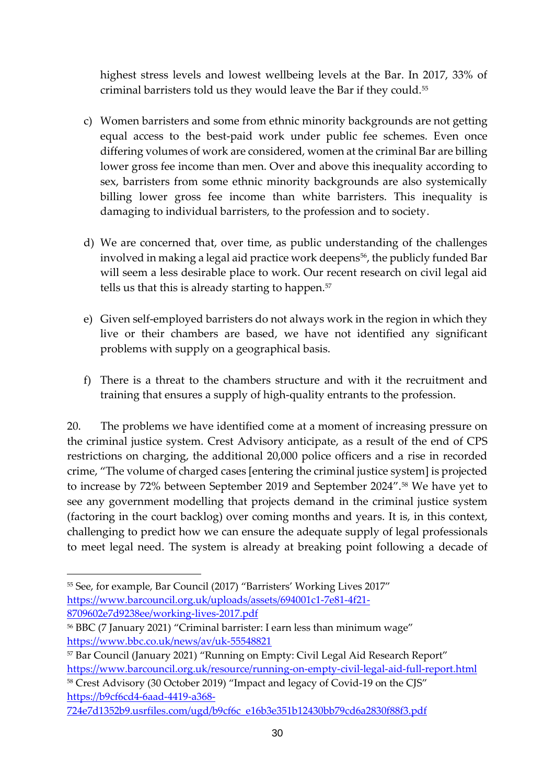highest stress levels and lowest wellbeing levels at the Bar. In 2017, 33% of criminal barristers told us they would leave the Bar if they could.<sup>55</sup>

- c) Women barristers and some from ethnic minority backgrounds are not getting equal access to the best-paid work under public fee schemes. Even once differing volumes of work are considered, women at the criminal Bar are billing lower gross fee income than men. Over and above this inequality according to sex, barristers from some ethnic minority backgrounds are also systemically billing lower gross fee income than white barristers. This inequality is damaging to individual barristers, to the profession and to society.
- d) We are concerned that, over time, as public understanding of the challenges involved in making a legal aid practice work deepens<sup>56</sup>, the publicly funded Bar will seem a less desirable place to work. Our recent research on civil legal aid tells us that this is already starting to happen.<sup>57</sup>
- e) Given self-employed barristers do not always work in the region in which they live or their chambers are based, we have not identified any significant problems with supply on a geographical basis.
- f) There is a threat to the chambers structure and with it the recruitment and training that ensures a supply of high-quality entrants to the profession.

20. The problems we have identified come at a moment of increasing pressure on the criminal justice system. Crest Advisory anticipate, as a result of the end of CPS restrictions on charging, the additional 20,000 police officers and a rise in recorded crime, "The volume of charged cases [entering the criminal justice system] is projected to increase by 72% between September 2019 and September 2024".<sup>58</sup> We have yet to see any government modelling that projects demand in the criminal justice system (factoring in the court backlog) over coming months and years. It is, in this context, challenging to predict how we can ensure the adequate supply of legal professionals to meet legal need. The system is already at breaking point following a decade of

<sup>58</sup> Crest Advisory (30 October 2019) "Impact and legacy of Covid-19 on the CJS" [https://b9cf6cd4-6aad-4419-a368-](https://b9cf6cd4-6aad-4419-a368-724e7d1352b9.usrfiles.com/ugd/b9cf6c_e16b3e351b12430bb79cd6a2830f88f3.pdf)

<sup>55</sup> See, for example, Bar Council (2017) "Barristers' Working Lives 2017" [https://www.barcouncil.org.uk/uploads/assets/694001c1-7e81-4f21-](https://www.barcouncil.org.uk/uploads/assets/694001c1-7e81-4f21-8709602e7d9238ee/working-lives-2017.pdf) [8709602e7d9238ee/working-lives-2017.pdf](https://www.barcouncil.org.uk/uploads/assets/694001c1-7e81-4f21-8709602e7d9238ee/working-lives-2017.pdf)

<sup>&</sup>lt;sup>56</sup> BBC (7 January 2021) "Criminal barrister: I earn less than minimum wage" <https://www.bbc.co.uk/news/av/uk-55548821>

<sup>57</sup> Bar Council (January 2021) "Running on Empty: Civil Legal Aid Research Report" <https://www.barcouncil.org.uk/resource/running-on-empty-civil-legal-aid-full-report.html>

[<sup>724</sup>e7d1352b9.usrfiles.com/ugd/b9cf6c\\_e16b3e351b12430bb79cd6a2830f88f3.pdf](https://b9cf6cd4-6aad-4419-a368-724e7d1352b9.usrfiles.com/ugd/b9cf6c_e16b3e351b12430bb79cd6a2830f88f3.pdf)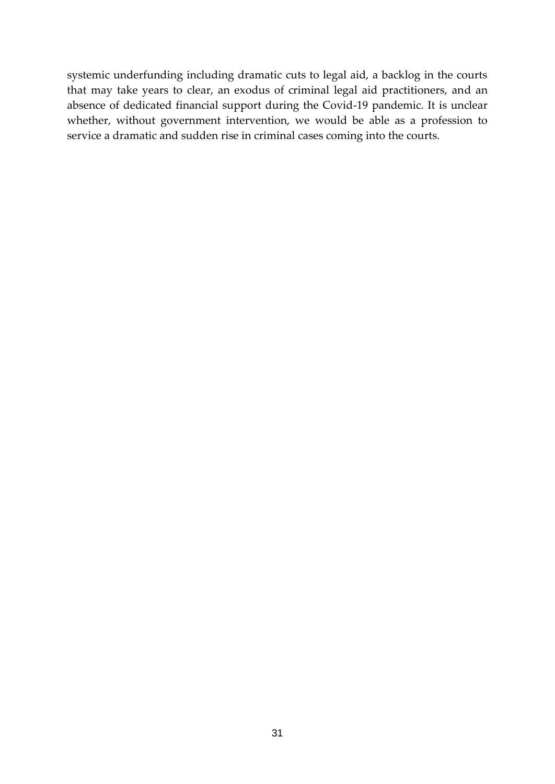systemic underfunding including dramatic cuts to legal aid, a backlog in the courts that may take years to clear, an exodus of criminal legal aid practitioners, and an absence of dedicated financial support during the Covid-19 pandemic. It is unclear whether, without government intervention, we would be able as a profession to service a dramatic and sudden rise in criminal cases coming into the courts.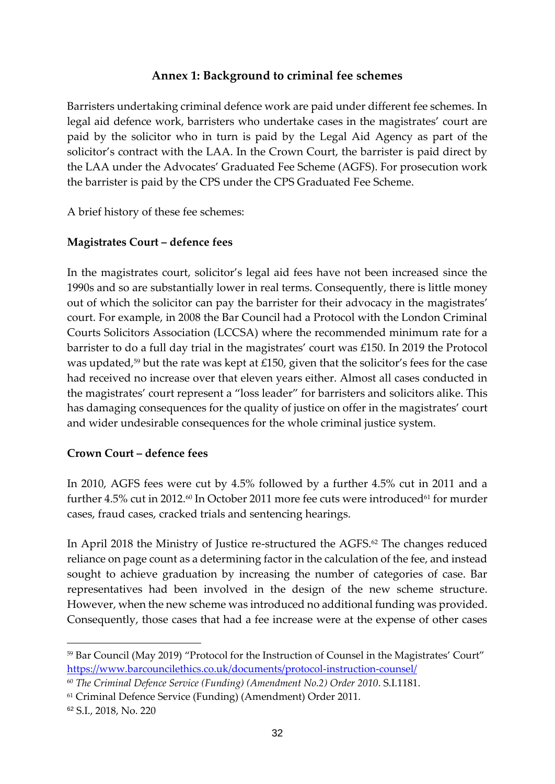### **Annex 1: Background to criminal fee schemes**

Barristers undertaking criminal defence work are paid under different fee schemes. In legal aid defence work, barristers who undertake cases in the magistrates' court are paid by the solicitor who in turn is paid by the Legal Aid Agency as part of the solicitor's contract with the LAA. In the Crown Court, the barrister is paid direct by the LAA under the Advocates' Graduated Fee Scheme (AGFS). For prosecution work the barrister is paid by the CPS under the CPS Graduated Fee Scheme.

A brief history of these fee schemes:

### **Magistrates Court – defence fees**

In the magistrates court, solicitor's legal aid fees have not been increased since the 1990s and so are substantially lower in real terms. Consequently, there is little money out of which the solicitor can pay the barrister for their advocacy in the magistrates' court. For example, in 2008 the Bar Council had a Protocol with the London Criminal Courts Solicitors Association (LCCSA) where the recommended minimum rate for a barrister to do a full day trial in the magistrates' court was £150. In 2019 the Protocol was updated,<sup>59</sup> but the rate was kept at £150, given that the solicitor's fees for the case had received no increase over that eleven years either. Almost all cases conducted in the magistrates' court represent a "loss leader" for barristers and solicitors alike. This has damaging consequences for the quality of justice on offer in the magistrates' court and wider undesirable consequences for the whole criminal justice system.

#### **Crown Court – defence fees**

In 2010, AGFS fees were cut by 4.5% followed by a further 4.5% cut in 2011 and a further  $4.5\%$  cut in 2012.<sup>60</sup> In October 2011 more fee cuts were introduced<sup>61</sup> for murder cases, fraud cases, cracked trials and sentencing hearings.

In April 2018 the Ministry of Justice re-structured the AGFS.<sup>62</sup> The changes reduced reliance on page count as a determining factor in the calculation of the fee, and instead sought to achieve graduation by increasing the number of categories of case. Bar representatives had been involved in the design of the new scheme structure. However, when the new scheme was introduced no additional funding was provided. Consequently, those cases that had a fee increase were at the expense of other cases

<sup>&</sup>lt;sup>59</sup> Bar Council (May 2019) "Protocol for the Instruction of Counsel in the Magistrates' Court" <https://www.barcouncilethics.co.uk/documents/protocol-instruction-counsel/>

<sup>60</sup> *The Criminal Defence Service (Funding) (Amendment No.2) Order 2010*. S.I.1181.

<sup>&</sup>lt;sup>61</sup> Criminal Defence Service (Funding) (Amendment) Order 2011.

<sup>62</sup> S.I., 2018, No. 220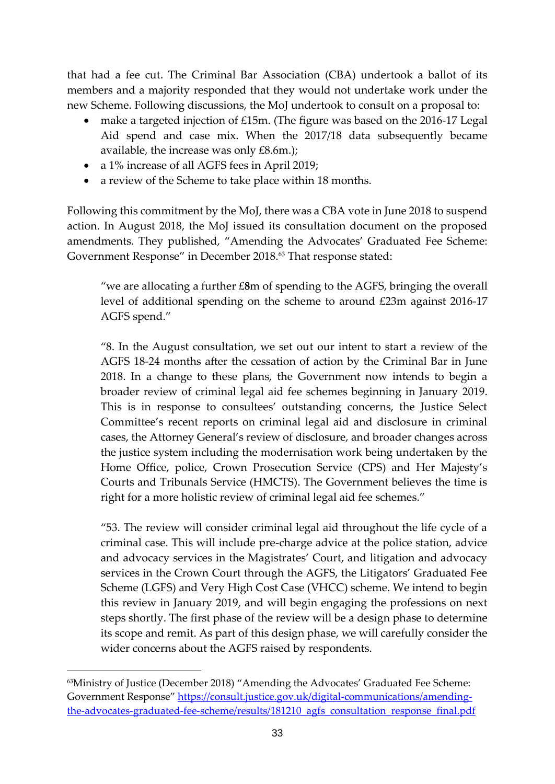that had a fee cut. The Criminal Bar Association (CBA) undertook a ballot of its members and a majority responded that they would not undertake work under the new Scheme. Following discussions, the MoJ undertook to consult on a proposal to:

- make a targeted injection of £15m. (The figure was based on the 2016-17 Legal Aid spend and case mix. When the 2017/18 data subsequently became available, the increase was only £8.6m.);
- a 1% increase of all AGFS fees in April 2019;
- a review of the Scheme to take place within 18 months.

Following this commitment by the MoJ, there was a CBA vote in June 2018 to suspend action. In August 2018, the MoJ issued its consultation document on the proposed amendments. They published, "Amending the Advocates' Graduated Fee Scheme: Government Response" in December 2018.<sup>63</sup> That response stated:

"we are allocating a further £**8**m of spending to the AGFS, bringing the overall level of additional spending on the scheme to around £23m against 2016-17 AGFS spend."

"8. In the August consultation, we set out our intent to start a review of the AGFS 18-24 months after the cessation of action by the Criminal Bar in June 2018. In a change to these plans, the Government now intends to begin a broader review of criminal legal aid fee schemes beginning in January 2019. This is in response to consultees' outstanding concerns, the Justice Select Committee's recent reports on criminal legal aid and disclosure in criminal cases, the Attorney General's review of disclosure, and broader changes across the justice system including the modernisation work being undertaken by the Home Office, police, Crown Prosecution Service (CPS) and Her Majesty's Courts and Tribunals Service (HMCTS). The Government believes the time is right for a more holistic review of criminal legal aid fee schemes."

"53. The review will consider criminal legal aid throughout the life cycle of a criminal case. This will include pre-charge advice at the police station, advice and advocacy services in the Magistrates' Court, and litigation and advocacy services in the Crown Court through the AGFS, the Litigators' Graduated Fee Scheme (LGFS) and Very High Cost Case (VHCC) scheme. We intend to begin this review in January 2019, and will begin engaging the professions on next steps shortly. The first phase of the review will be a design phase to determine its scope and remit. As part of this design phase, we will carefully consider the wider concerns about the AGFS raised by respondents.

<sup>63</sup>Ministry of Justice (December 2018) "Amending the Advocates' Graduated Fee Scheme: Government Response" [https://consult.justice.gov.uk/digital-communications/amending](https://consult.justice.gov.uk/digital-communications/amending-the-advocates-graduated-fee-scheme/results/181210_agfs_consultation_response_final.pdf)[the-advocates-graduated-fee-scheme/results/181210\\_agfs\\_consultation\\_response\\_final.pdf](https://consult.justice.gov.uk/digital-communications/amending-the-advocates-graduated-fee-scheme/results/181210_agfs_consultation_response_final.pdf)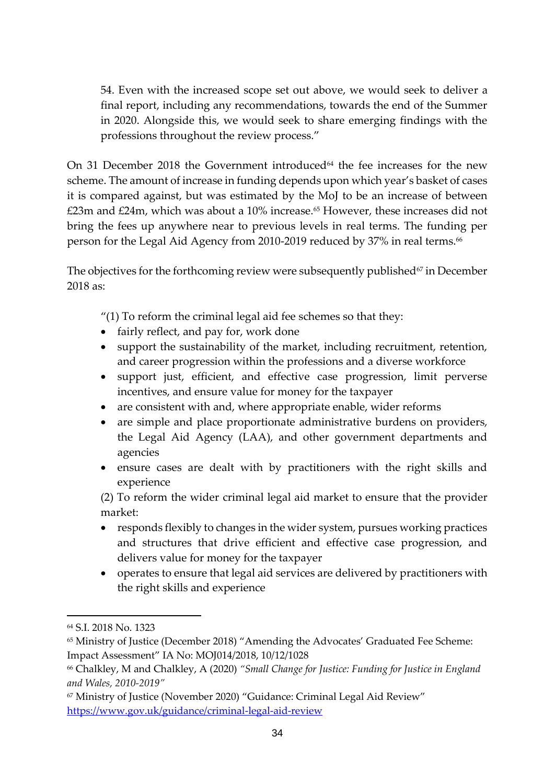54. Even with the increased scope set out above, we would seek to deliver a final report, including any recommendations, towards the end of the Summer in 2020. Alongside this, we would seek to share emerging findings with the professions throughout the review process."

On 31 December 2018 the Government introduced $64$  the fee increases for the new scheme. The amount of increase in funding depends upon which year's basket of cases it is compared against, but was estimated by the MoJ to be an increase of between  $£23m$  and  $£24m$ , which was about a 10% increase.<sup>65</sup> However, these increases did not bring the fees up anywhere near to previous levels in real terms. The funding per person for the Legal Aid Agency from 2010-2019 reduced by 37% in real terms.<sup>66</sup>

The objectives for the forthcoming review were subsequently published $67$  in December 2018 as:

"(1) To reform the criminal legal aid fee schemes so that they:

- fairly reflect, and pay for, work done
- support the sustainability of the market, including recruitment, retention, and career progression within the professions and a diverse workforce
- support just, efficient, and effective case progression, limit perverse incentives, and ensure value for money for the taxpayer
- are consistent with and, where appropriate enable, wider reforms
- are simple and place proportionate administrative burdens on providers, the Legal Aid Agency (LAA), and other government departments and agencies
- ensure cases are dealt with by practitioners with the right skills and experience

(2) To reform the wider criminal legal aid market to ensure that the provider market:

- responds flexibly to changes in the wider system, pursues working practices and structures that drive efficient and effective case progression, and delivers value for money for the taxpayer
- operates to ensure that legal aid services are delivered by practitioners with the right skills and experience

<sup>64</sup> S.I. 2018 No. 1323

<sup>65</sup> Ministry of Justice (December 2018) "Amending the Advocates' Graduated Fee Scheme: Impact Assessment" IA No: MOJ014/2018, 10/12/1028

<sup>66</sup> Chalkley, M and Chalkley, A (2020) *"Small Change for Justice: Funding for Justice in England and Wales, 2010-2019"*

<sup>&</sup>lt;sup>67</sup> Ministry of Justice (November 2020) "Guidance: Criminal Legal Aid Review" <https://www.gov.uk/guidance/criminal-legal-aid-review>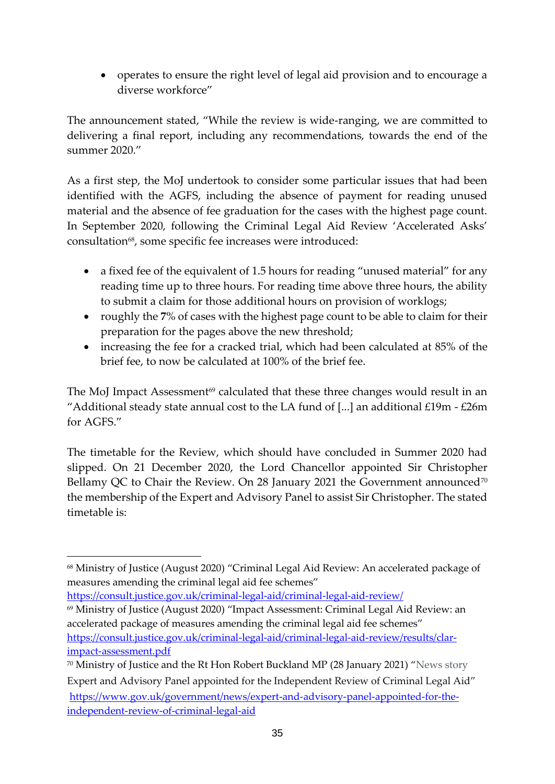• operates to ensure the right level of legal aid provision and to encourage a diverse workforce"

The announcement stated, "While the review is wide-ranging, we are committed to delivering a final report, including any recommendations, towards the end of the summer 2020."

As a first step, the MoJ undertook to consider some particular issues that had been identified with the AGFS, including the absence of payment for reading unused material and the absence of fee graduation for the cases with the highest page count. In September 2020, following the Criminal Legal Aid Review 'Accelerated Asks' consultation<sup>68</sup>, some specific fee increases were introduced:

- a fixed fee of the equivalent of 1.5 hours for reading "unused material" for any reading time up to three hours. For reading time above three hours, the ability to submit a claim for those additional hours on provision of worklogs;
- roughly the **7**% of cases with the highest page count to be able to claim for their preparation for the pages above the new threshold;
- increasing the fee for a cracked trial, which had been calculated at 85% of the brief fee, to now be calculated at 100% of the brief fee.

The MoJ Impact Assessment<sup>69</sup> calculated that these three changes would result in an "Additional steady state annual cost to the LA fund of [...] an additional  $£19m - £26m$ for AGFS."

The timetable for the Review, which should have concluded in Summer 2020 had slipped. On 21 December 2020, the Lord Chancellor appointed Sir Christopher Bellamy QC to Chair the Review. On 28 January 2021 the Government announced<sup>70</sup> the membership of the Expert and Advisory Panel to assist Sir Christopher. The stated timetable is:

<https://consult.justice.gov.uk/criminal-legal-aid/criminal-legal-aid-review/>

<sup>69</sup> Ministry of Justice (August 2020) "Impact Assessment: Criminal Legal Aid Review: an accelerated package of measures amending the criminal legal aid fee schemes" [https://consult.justice.gov.uk/criminal-legal-aid/criminal-legal-aid-review/results/clar](https://consult.justice.gov.uk/criminal-legal-aid/criminal-legal-aid-review/results/clar-impact-assessment.pdf)[impact-assessment.pdf](https://consult.justice.gov.uk/criminal-legal-aid/criminal-legal-aid-review/results/clar-impact-assessment.pdf)

<sup>68</sup> Ministry of Justice (August 2020) "Criminal Legal Aid Review: An accelerated package of measures amending the criminal legal aid fee schemes"

<sup>70</sup> Ministry of Justice and the Rt Hon Robert Buckland MP (28 January 2021) "News story Expert and Advisory Panel appointed for the Independent Review of Criminal Legal Aid" [https://www.gov.uk/government/news/expert-and-advisory-panel-appointed-for-the](https://www.gov.uk/government/news/expert-and-advisory-panel-appointed-for-the-independent-review-of-criminal-legal-aid)[independent-review-of-criminal-legal-aid](https://www.gov.uk/government/news/expert-and-advisory-panel-appointed-for-the-independent-review-of-criminal-legal-aid)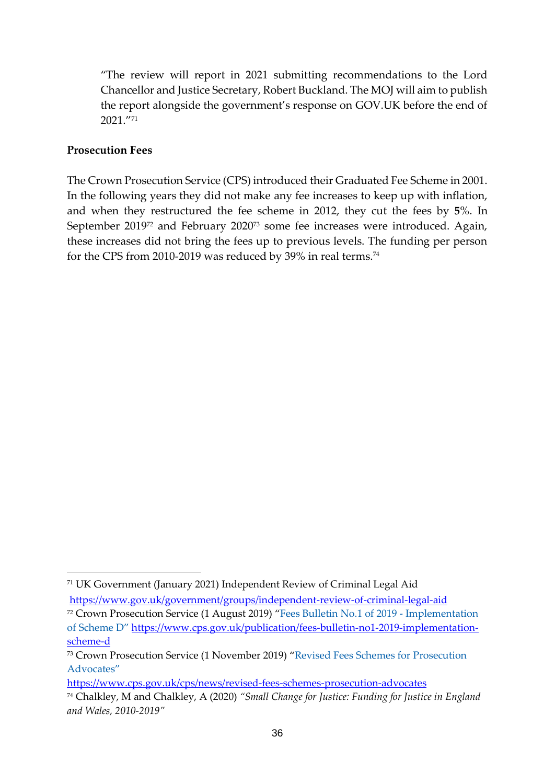"The review will report in 2021 submitting recommendations to the Lord Chancellor and Justice Secretary, Robert Buckland. The MOJ will aim to publish the report alongside the government's response on GOV.UK before the end of 2021."<sup>71</sup>

#### **Prosecution Fees**

The Crown Prosecution Service (CPS) introduced their Graduated Fee Scheme in 2001. In the following years they did not make any fee increases to keep up with inflation, and when they restructured the fee scheme in 2012, they cut the fees by **5**%. In September 2019<sup>72</sup> and February 2020<sup>73</sup> some fee increases were introduced. Again, these increases did not bring the fees up to previous levels. The funding per person for the CPS from 2010-2019 was reduced by 39% in real terms.<sup>74</sup>

<https://www.cps.gov.uk/cps/news/revised-fees-schemes-prosecution-advocates>

<sup>71</sup> UK Government (January 2021) Independent Review of Criminal Legal Aid <https://www.gov.uk/government/groups/independent-review-of-criminal-legal-aid>

<sup>72</sup> Crown Prosecution Service (1 August 2019) "Fees Bulletin No.1 of 2019 - Implementation of Scheme D" [https://www.cps.gov.uk/publication/fees-bulletin-no1-2019-implementation](https://www.cps.gov.uk/publication/fees-bulletin-no1-2019-implementation-scheme-d)[scheme-d](https://www.cps.gov.uk/publication/fees-bulletin-no1-2019-implementation-scheme-d)

<sup>73</sup> Crown Prosecution Service (1 November 2019) "Revised Fees Schemes for Prosecution Advocates"

<sup>74</sup> Chalkley, M and Chalkley, A (2020) *"Small Change for Justice: Funding for Justice in England and Wales, 2010-2019"*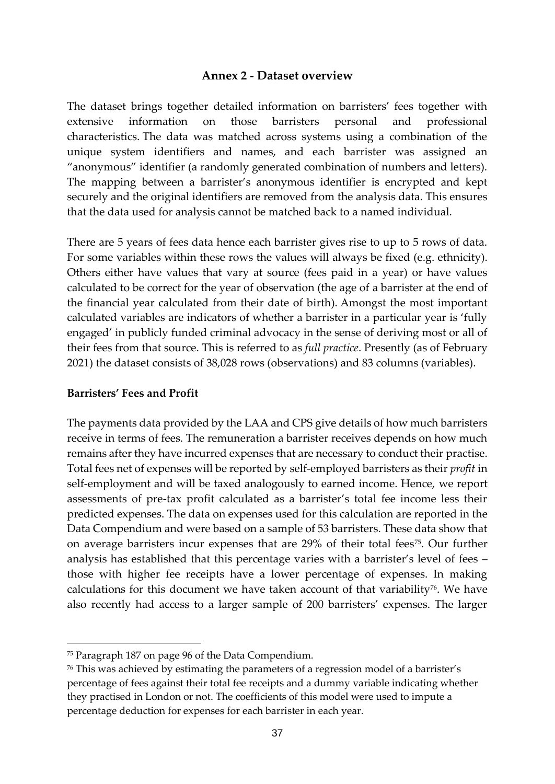#### **Annex 2 - Dataset overview**

The dataset brings together detailed information on barristers' fees together with extensive information on those barristers personal and professional characteristics. The data was matched across systems using a combination of the unique system identifiers and names, and each barrister was assigned an "anonymous" identifier (a randomly generated combination of numbers and letters). The mapping between a barrister's anonymous identifier is encrypted and kept securely and the original identifiers are removed from the analysis data. This ensures that the data used for analysis cannot be matched back to a named individual.

There are 5 years of fees data hence each barrister gives rise to up to 5 rows of data. For some variables within these rows the values will always be fixed (e.g. ethnicity). Others either have values that vary at source (fees paid in a year) or have values calculated to be correct for the year of observation (the age of a barrister at the end of the financial year calculated from their date of birth). Amongst the most important calculated variables are indicators of whether a barrister in a particular year is 'fully engaged' in publicly funded criminal advocacy in the sense of deriving most or all of their fees from that source. This is referred to as *full practice*. Presently (as of February 2021) the dataset consists of 38,028 rows (observations) and 83 columns (variables).

#### **Barristers' Fees and Profit**

The payments data provided by the LAA and CPS give details of how much barristers receive in terms of fees. The remuneration a barrister receives depends on how much remains after they have incurred expenses that are necessary to conduct their practise. Total fees net of expenses will be reported by self-employed barristers as their *profit* in self-employment and will be taxed analogously to earned income. Hence, we report assessments of pre-tax profit calculated as a barrister's total fee income less their predicted expenses. The data on expenses used for this calculation are reported in the Data Compendium and were based on a sample of 53 barristers. These data show that on average barristers incur expenses that are 29% of their total fees<sup>75</sup>. Our further analysis has established that this percentage varies with a barrister's level of fees – those with higher fee receipts have a lower percentage of expenses. In making calculations for this document we have taken account of that variability<sup>76</sup>. We have also recently had access to a larger sample of 200 barristers' expenses. The larger

<sup>75</sup> Paragraph 187 on page 96 of the Data Compendium.

<sup>76</sup> This was achieved by estimating the parameters of a regression model of a barrister's percentage of fees against their total fee receipts and a dummy variable indicating whether they practised in London or not. The coefficients of this model were used to impute a percentage deduction for expenses for each barrister in each year.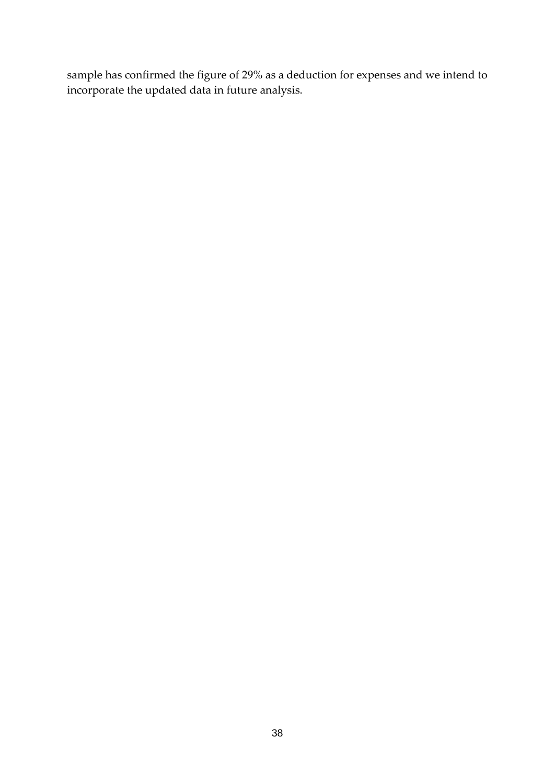sample has confirmed the figure of 29% as a deduction for expenses and we intend to incorporate the updated data in future analysis.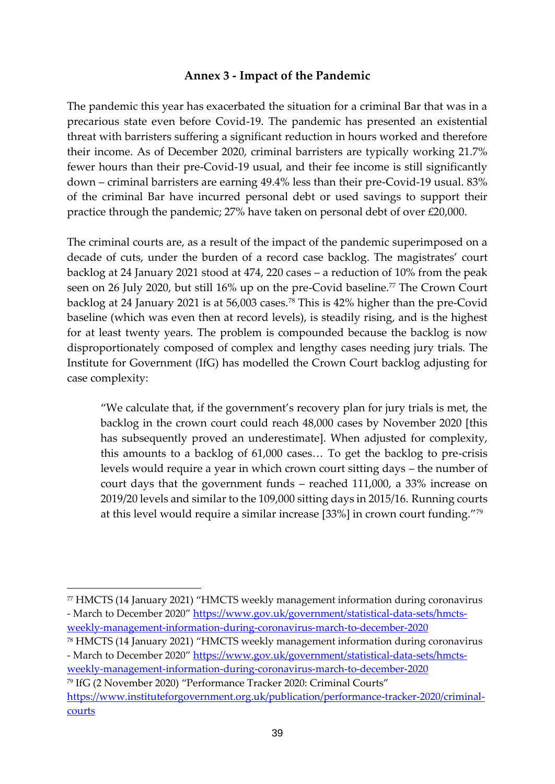#### **Annex 3 - Impact of the Pandemic**

The pandemic this year has exacerbated the situation for a criminal Bar that was in a precarious state even before Covid-19. The pandemic has presented an existential threat with barristers suffering a significant reduction in hours worked and therefore their income. As of December 2020, criminal barristers are typically working 21.7% fewer hours than their pre-Covid-19 usual, and their fee income is still significantly down – criminal barristers are earning 49.4% less than their pre-Covid-19 usual. 83% of the criminal Bar have incurred personal debt or used savings to support their practice through the pandemic; 27% have taken on personal debt of over £20,000.

The criminal courts are, as a result of the impact of the pandemic superimposed on a decade of cuts, under the burden of a record case backlog. The magistrates' court backlog at 24 January 2021 stood at 474, 220 cases – a reduction of 10% from the peak seen on 26 July 2020, but still 16% up on the pre-Covid baseline.<sup>77</sup> The Crown Court backlog at 24 January 2021 is at 56,003 cases.<sup>78</sup> This is 42% higher than the pre-Covid baseline (which was even then at record levels), is steadily rising, and is the highest for at least twenty years. The problem is compounded because the backlog is now disproportionately composed of complex and lengthy cases needing jury trials. The Institute for Government (IfG) has modelled the Crown Court backlog adjusting for case complexity:

"We calculate that, if the government's recovery plan for jury trials is met, the backlog in the crown court could reach 48,000 cases by November 2020 [this has subsequently proved an underestimate]. When adjusted for complexity, this amounts to a backlog of 61,000 cases… To get the backlog to pre-crisis levels would require a year in which crown court sitting days – the number of court days that the government funds – reached 111,000, a 33% increase on 2019/20 levels and similar to the 109,000 sitting days in 2015/16. Running courts at this level would require a similar increase [33%] in crown court funding."<sup>79</sup>

[weekly-management-information-during-coronavirus-march-to-december-2020](https://www.gov.uk/government/statistical-data-sets/hmcts-weekly-management-information-during-coronavirus-march-to-december-2020)

<sup>77</sup> HMCTS (14 January 2021) "HMCTS weekly management information during coronavirus - March to December 2020" [https://www.gov.uk/government/statistical-data-sets/hmcts](https://www.gov.uk/government/statistical-data-sets/hmcts-weekly-management-information-during-coronavirus-march-to-december-2020)[weekly-management-information-during-coronavirus-march-to-december-2020](https://www.gov.uk/government/statistical-data-sets/hmcts-weekly-management-information-during-coronavirus-march-to-december-2020)

<sup>78</sup> HMCTS (14 January 2021) "HMCTS weekly management information during coronavirus - March to December 2020" [https://www.gov.uk/government/statistical-data-sets/hmcts-](https://www.gov.uk/government/statistical-data-sets/hmcts-weekly-management-information-during-coronavirus-march-to-december-2020)

<sup>79</sup> IfG (2 November 2020) "Performance Tracker 2020: Criminal Courts" [https://www.instituteforgovernment.org.uk/publication/performance-tracker-2020/criminal](https://www.instituteforgovernment.org.uk/publication/performance-tracker-2020/criminal-courts)[courts](https://www.instituteforgovernment.org.uk/publication/performance-tracker-2020/criminal-courts)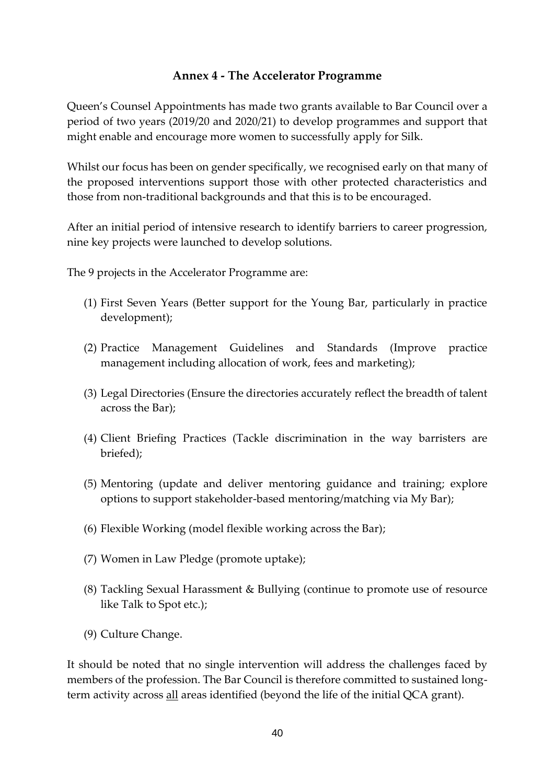### **Annex 4 - The Accelerator Programme**

Queen's Counsel Appointments has made two grants available to Bar Council over a period of two years (2019/20 and 2020/21) to develop programmes and support that might enable and encourage more women to successfully apply for Silk.

Whilst our focus has been on gender specifically, we recognised early on that many of the proposed interventions support those with other protected characteristics and those from non-traditional backgrounds and that this is to be encouraged.

After an initial period of intensive research to identify barriers to career progression, nine key projects were launched to develop solutions.

The 9 projects in the Accelerator Programme are:

- (1) First Seven Years (Better support for the Young Bar, particularly in practice development);
- (2) Practice Management Guidelines and Standards (Improve practice management including allocation of work, fees and marketing);
- (3) Legal Directories (Ensure the directories accurately reflect the breadth of talent across the Bar);
- (4) Client Briefing Practices (Tackle discrimination in the way barristers are briefed);
- (5) Mentoring (update and deliver mentoring guidance and training; explore options to support stakeholder-based mentoring/matching via My Bar);
- (6) Flexible Working (model flexible working across the Bar);
- (7) Women in Law Pledge (promote uptake);
- (8) Tackling Sexual Harassment & Bullying (continue to promote use of resource like Talk to Spot etc.);
- (9) Culture Change.

It should be noted that no single intervention will address the challenges faced by members of the profession. The Bar Council is therefore committed to sustained longterm activity across all areas identified (beyond the life of the initial QCA grant).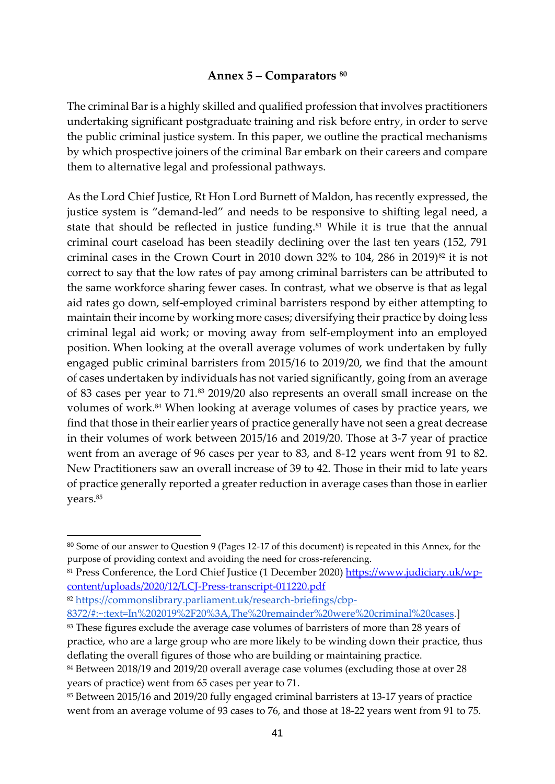## **Annex 5 – Comparators 80**

The criminal Bar is a highly skilled and qualified profession that involves practitioners undertaking significant postgraduate training and risk before entry, in order to serve the public criminal justice system. In this paper, we outline the practical mechanisms by which prospective joiners of the criminal Bar embark on their careers and compare them to alternative legal and professional pathways.

As the Lord Chief Justice, Rt Hon Lord Burnett of Maldon, has recently expressed, the justice system is "demand-led" and needs to be responsive to shifting legal need, a state that should be reflected in justice funding.<sup>81</sup> While it is true that the annual criminal court caseload has been steadily declining over the last ten years (152, 791 criminal cases in the Crown Court in 2010 down 32% to 104, 286 in 2019)<sup>82</sup> it is not correct to say that the low rates of pay among criminal barristers can be attributed to the same workforce sharing fewer cases. In contrast, what we observe is that as legal aid rates go down, self-employed criminal barristers respond by either attempting to maintain their income by working more cases; diversifying their practice by doing less criminal legal aid work; or moving away from self-employment into an employed position. When looking at the overall average volumes of work undertaken by fully engaged public criminal barristers from 2015/16 to 2019/20, we find that the amount of cases undertaken by individuals has not varied significantly, going from an average of 83 cases per year to 71.<sup>83</sup> 2019/20 also represents an overall small increase on the volumes of work.<sup>84</sup> When looking at average volumes of cases by practice years, we find that those in their earlier years of practice generally have not seen a great decrease in their volumes of work between 2015/16 and 2019/20. Those at 3-7 year of practice went from an average of 96 cases per year to 83, and 8-12 years went from 91 to 82. New Practitioners saw an overall increase of 39 to 42. Those in their mid to late years of practice generally reported a greater reduction in average cases than those in earlier years.<sup>85</sup>

[8372/#:~:text=In%202019%2F20%3A,The%20remainder%20were%20criminal%20cases.](https://commonslibrary.parliament.uk/research-briefings/cbp-8372/#:~:text=In%202019%2F20%3A,The%20remainder%20were%20criminal%20cases)]

<sup>80</sup> Some of our answer to Question 9 (Pages 12-17 of this document) is repeated in this Annex, for the purpose of providing context and avoiding the need for cross-referencing.

<sup>81</sup> Press Conference, the Lord Chief Justice (1 December 2020) [https://www.judiciary.uk/wp](https://www.judiciary.uk/wp-content/uploads/2020/12/LCJ-Press-transcript-011220.pdf)[content/uploads/2020/12/LCJ-Press-transcript-011220.pdf](https://www.judiciary.uk/wp-content/uploads/2020/12/LCJ-Press-transcript-011220.pdf)

<sup>82</sup> [https://commonslibrary.parliament.uk/research-briefings/cbp-](https://commonslibrary.parliament.uk/research-briefings/cbp-8372/#:~:text=In%202019%2F20%3A,The%20remainder%20were%20criminal%20cases)

<sup>&</sup>lt;sup>83</sup> These figures exclude the average case volumes of barristers of more than 28 years of practice, who are a large group who are more likely to be winding down their practice, thus deflating the overall figures of those who are building or maintaining practice.

<sup>&</sup>lt;sup>84</sup> Between 2018/19 and 2019/20 overall average case volumes (excluding those at over 28 years of practice) went from 65 cases per year to 71.

<sup>85</sup> Between 2015/16 and 2019/20 fully engaged criminal barristers at 13-17 years of practice went from an average volume of 93 cases to 76, and those at 18-22 years went from 91 to 75.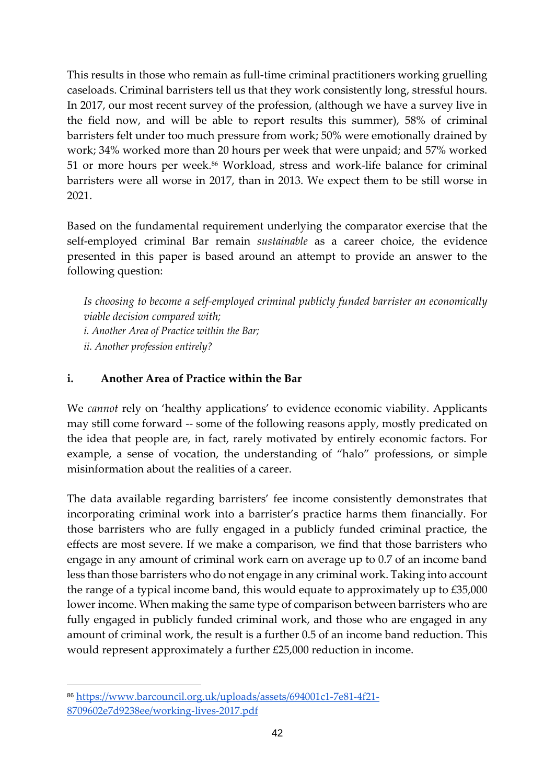This results in those who remain as full-time criminal practitioners working gruelling caseloads. Criminal barristers tell us that they work consistently long, stressful hours. In 2017, our most recent survey of the profession, (although we have a survey live in the field now, and will be able to report results this summer), 58% of criminal barristers felt under too much pressure from work; 50% were emotionally drained by work; 34% worked more than 20 hours per week that were unpaid; and 57% worked 51 or more hours per week.<sup>86</sup> Workload, stress and work-life balance for criminal barristers were all worse in 2017, than in 2013. We expect them to be still worse in 2021.

Based on the fundamental requirement underlying the comparator exercise that the self-employed criminal Bar remain *sustainable* as a career choice, the evidence presented in this paper is based around an attempt to provide an answer to the following question:

*Is choosing to become a self-employed criminal publicly funded barrister an economically viable decision compared with; i. Another Area of Practice within the Bar; ii. Another profession entirely?*

### **i. Another Area of Practice within the Bar**

We *cannot* rely on 'healthy applications' to evidence economic viability. Applicants may still come forward -- some of the following reasons apply, mostly predicated on the idea that people are, in fact, rarely motivated by entirely economic factors. For example, a sense of vocation, the understanding of "halo" professions, or simple misinformation about the realities of a career.

The data available regarding barristers' fee income consistently demonstrates that incorporating criminal work into a barrister's practice harms them financially. For those barristers who are fully engaged in a publicly funded criminal practice, the effects are most severe. If we make a comparison, we find that those barristers who engage in any amount of criminal work earn on average up to 0.7 of an income band less than those barristers who do not engage in any criminal work. Taking into account the range of a typical income band, this would equate to approximately up to £35,000 lower income. When making the same type of comparison between barristers who are fully engaged in publicly funded criminal work, and those who are engaged in any amount of criminal work, the result is a further 0.5 of an income band reduction. This would represent approximately a further £25,000 reduction in income.

<sup>86</sup> [https://www.barcouncil.org.uk/uploads/assets/694001c1-7e81-4f21-](https://www.barcouncil.org.uk/uploads/assets/694001c1-7e81-4f21-8709602e7d9238ee/working-lives-2017.pdf) [8709602e7d9238ee/working-lives-2017.pdf](https://www.barcouncil.org.uk/uploads/assets/694001c1-7e81-4f21-8709602e7d9238ee/working-lives-2017.pdf)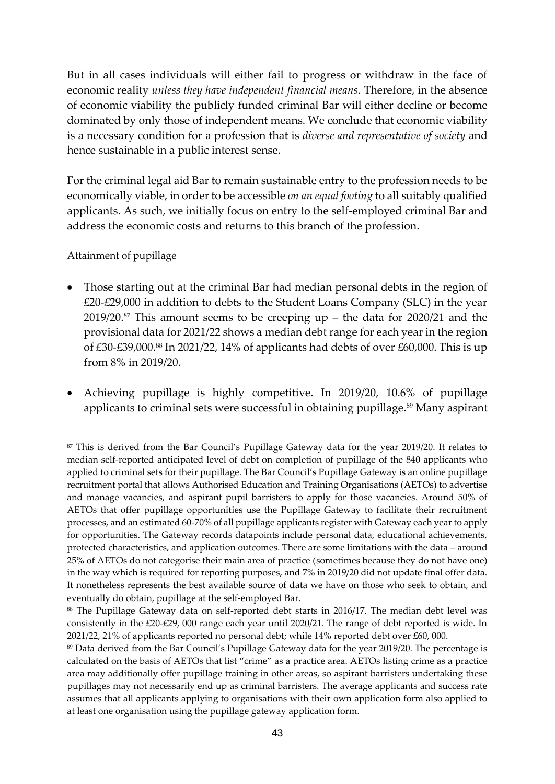But in all cases individuals will either fail to progress or withdraw in the face of economic reality *unless they have independent financial means.* Therefore, in the absence of economic viability the publicly funded criminal Bar will either decline or become dominated by only those of independent means. We conclude that economic viability is a necessary condition for a profession that is *diverse and representative of society* and hence sustainable in a public interest sense.

For the criminal legal aid Bar to remain sustainable entry to the profession needs to be economically viable, in order to be accessible *on an equal footing* to all suitably qualified applicants. As such, we initially focus on entry to the self-employed criminal Bar and address the economic costs and returns to this branch of the profession.

#### Attainment of pupillage

- Those starting out at the criminal Bar had median personal debts in the region of £20-£29,000 in addition to debts to the Student Loans Company (SLC) in the year  $2019/20$ .<sup>87</sup> This amount seems to be creeping up – the data for  $2020/21$  and the provisional data for 2021/22 shows a median debt range for each year in the region of £30-£39,000.<sup>88</sup> In 2021/22, 14% of applicants had debts of over £60,000. This is up from 8% in 2019/20.
- Achieving pupillage is highly competitive. In 2019/20, 10.6% of pupillage applicants to criminal sets were successful in obtaining pupillage.<sup>89</sup> Many aspirant

<sup>87</sup> This is derived from the Bar Council's Pupillage Gateway data for the year 2019/20. It relates to median self-reported anticipated level of debt on completion of pupillage of the 840 applicants who applied to criminal sets for their pupillage. The Bar Council's Pupillage Gateway is an online pupillage recruitment portal that allows Authorised Education and Training Organisations (AETOs) to advertise and manage vacancies, and aspirant pupil barristers to apply for those vacancies. Around 50% of AETOs that offer pupillage opportunities use the Pupillage Gateway to facilitate their recruitment processes, and an estimated 60-70% of all pupillage applicants register with Gateway each year to apply for opportunities. The Gateway records datapoints include personal data, educational achievements, protected characteristics, and application outcomes. There are some limitations with the data – around 25% of AETOs do not categorise their main area of practice (sometimes because they do not have one) in the way which is required for reporting purposes, and 7% in 2019/20 did not update final offer data. It nonetheless represents the best available source of data we have on those who seek to obtain, and eventually do obtain, pupillage at the self-employed Bar.

<sup>88</sup> The Pupillage Gateway data on self-reported debt starts in 2016/17. The median debt level was consistently in the £20-£29, 000 range each year until 2020/21. The range of debt reported is wide. In 2021/22, 21% of applicants reported no personal debt; while 14% reported debt over £60, 000.

<sup>89</sup> Data derived from the Bar Council's Pupillage Gateway data for the year 2019/20. The percentage is calculated on the basis of AETOs that list "crime" as a practice area. AETOs listing crime as a practice area may additionally offer pupillage training in other areas, so aspirant barristers undertaking these pupillages may not necessarily end up as criminal barristers. The average applicants and success rate assumes that all applicants applying to organisations with their own application form also applied to at least one organisation using the pupillage gateway application form.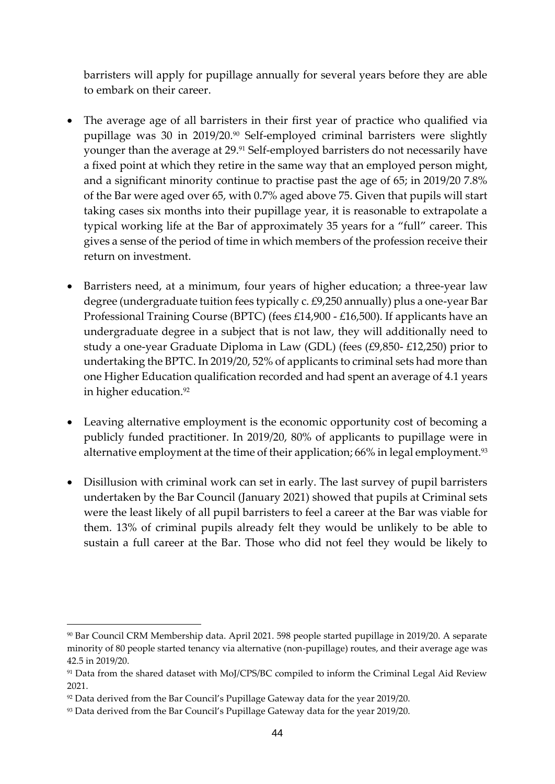barristers will apply for pupillage annually for several years before they are able to embark on their career.

- The average age of all barristers in their first year of practice who qualified via pupillage was 30 in 2019/20.<sup>90</sup> Self-employed criminal barristers were slightly younger than the average at 29.91 Self-employed barristers do not necessarily have a fixed point at which they retire in the same way that an employed person might, and a significant minority continue to practise past the age of 65; in 2019/20 7.8% of the Bar were aged over 65, with 0.7% aged above 75. Given that pupils will start taking cases six months into their pupillage year, it is reasonable to extrapolate a typical working life at the Bar of approximately 35 years for a "full" career. This gives a sense of the period of time in which members of the profession receive their return on investment.
- Barristers need, at a minimum, four years of higher education; a three-year law degree (undergraduate tuition fees typically c. £9,250 annually) plus a one-year Bar Professional Training Course (BPTC) (fees £14,900 - £16,500). If applicants have an undergraduate degree in a subject that is not law, they will additionally need to study a one-year Graduate Diploma in Law (GDL) (fees (£9,850- £12,250) prior to undertaking the BPTC. In 2019/20, 52% of applicants to criminal sets had more than one Higher Education qualification recorded and had spent an average of 4.1 years in higher education.<sup>92</sup>
- Leaving alternative employment is the economic opportunity cost of becoming a publicly funded practitioner. In 2019/20, 80% of applicants to pupillage were in alternative employment at the time of their application; 66% in legal employment.<sup>93</sup>
- Disillusion with criminal work can set in early. The last survey of pupil barristers undertaken by the Bar Council (January 2021) showed that pupils at Criminal sets were the least likely of all pupil barristers to feel a career at the Bar was viable for them. 13% of criminal pupils already felt they would be unlikely to be able to sustain a full career at the Bar. Those who did not feel they would be likely to

<sup>90</sup> Bar Council CRM Membership data. April 2021. 598 people started pupillage in 2019/20. A separate minority of 80 people started tenancy via alternative (non-pupillage) routes, and their average age was 42.5 in 2019/20.

<sup>&</sup>lt;sup>91</sup> Data from the shared dataset with MoJ/CPS/BC compiled to inform the Criminal Legal Aid Review 2021.

<sup>&</sup>lt;sup>92</sup> Data derived from the Bar Council's Pupillage Gateway data for the year 2019/20.

<sup>93</sup> Data derived from the Bar Council's Pupillage Gateway data for the year 2019/20.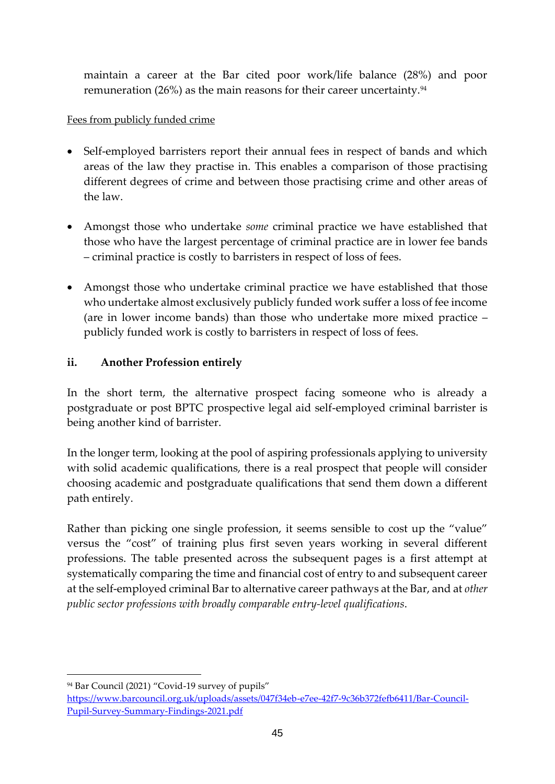maintain a career at the Bar cited poor work/life balance (28%) and poor remuneration (26%) as the main reasons for their career uncertainty. $94$ 

### Fees from publicly funded crime

- Self-employed barristers report their annual fees in respect of bands and which areas of the law they practise in. This enables a comparison of those practising different degrees of crime and between those practising crime and other areas of the law.
- Amongst those who undertake *some* criminal practice we have established that those who have the largest percentage of criminal practice are in lower fee bands – criminal practice is costly to barristers in respect of loss of fees.
- Amongst those who undertake criminal practice we have established that those who undertake almost exclusively publicly funded work suffer a loss of fee income (are in lower income bands) than those who undertake more mixed practice – publicly funded work is costly to barristers in respect of loss of fees.

### **ii. Another Profession entirely**

In the short term, the alternative prospect facing someone who is already a postgraduate or post BPTC prospective legal aid self-employed criminal barrister is being another kind of barrister.

In the longer term, looking at the pool of aspiring professionals applying to university with solid academic qualifications, there is a real prospect that people will consider choosing academic and postgraduate qualifications that send them down a different path entirely.

Rather than picking one single profession, it seems sensible to cost up the "value" versus the "cost" of training plus first seven years working in several different professions. The table presented across the subsequent pages is a first attempt at systematically comparing the time and financial cost of entry to and subsequent career at the self-employed criminal Bar to alternative career pathways at the Bar, and at *other public sector professions with broadly comparable entry-level qualifications*.

<sup>94</sup> Bar Council (2021) "Covid-19 survey of pupils"

[https://www.barcouncil.org.uk/uploads/assets/047f34eb-e7ee-42f7-9c36b372fefb6411/Bar-Council-](https://www.barcouncil.org.uk/uploads/assets/047f34eb-e7ee-42f7-9c36b372fefb6411/Bar-Council-Pupil-Survey-Summary-Findings-2021.pdf)[Pupil-Survey-Summary-Findings-2021.pdf](https://www.barcouncil.org.uk/uploads/assets/047f34eb-e7ee-42f7-9c36b372fefb6411/Bar-Council-Pupil-Survey-Summary-Findings-2021.pdf)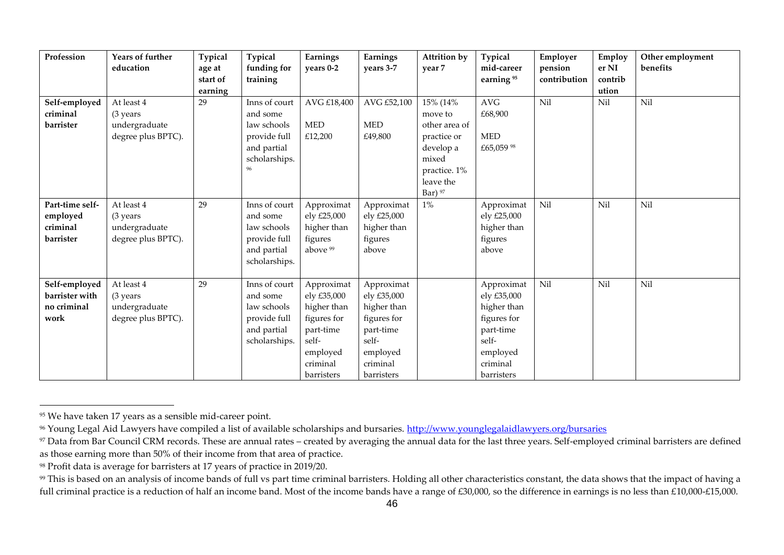| Profession                                             | Years of further<br>education                                  | Typical<br>age at<br>start of<br>earning | Typical<br>funding for<br>training                                                       | Earnings<br>years 0-2                                                                                               | Earnings<br>years 3-7                                                                                               | <b>Attrition by</b><br>year 7                                                                                       | Typical<br>mid-career<br>earning <sup>95</sup>                                                                      | Employer<br>pension<br>contribution | Employ<br>er NI<br>contrib<br>ution | Other employment<br>benefits |
|--------------------------------------------------------|----------------------------------------------------------------|------------------------------------------|------------------------------------------------------------------------------------------|---------------------------------------------------------------------------------------------------------------------|---------------------------------------------------------------------------------------------------------------------|---------------------------------------------------------------------------------------------------------------------|---------------------------------------------------------------------------------------------------------------------|-------------------------------------|-------------------------------------|------------------------------|
| Self-employed<br>criminal<br>barrister                 | At least 4<br>(3 years)<br>undergraduate<br>degree plus BPTC). | 29                                       | Inns of court<br>and some<br>law schools<br>provide full<br>and partial<br>scholarships. | AVG £18,400<br><b>MED</b><br>£12,200                                                                                | AVG £52,100<br><b>MED</b><br>£49,800                                                                                | 15% (14%<br>move to<br>other area of<br>practice or<br>develop a<br>mixed<br>practice. 1%<br>leave the<br>Bar) $97$ | $\operatorname{AVG}$<br>£68,900<br><b>MED</b><br>£65,059 98                                                         | Nil                                 | Nil                                 | Nil                          |
| Part-time self-<br>employed<br>criminal<br>barrister   | At least 4<br>(3 years<br>undergraduate<br>degree plus BPTC).  | 29                                       | Inns of court<br>and some<br>law schools<br>provide full<br>and partial<br>scholarships. | Approximat<br>ely £25,000<br>higher than<br>figures<br>above <sup>99</sup>                                          | Approximat<br>ely £25,000<br>higher than<br>figures<br>above                                                        | $1\%$                                                                                                               | Approximat<br>ely £25,000<br>higher than<br>figures<br>above                                                        | Nil                                 | Nil                                 | Nil                          |
| Self-employed<br>barrister with<br>no criminal<br>work | At least 4<br>(3 years<br>undergraduate<br>degree plus BPTC).  | 29                                       | Inns of court<br>and some<br>law schools<br>provide full<br>and partial<br>scholarships. | Approximat<br>ely £35,000<br>higher than<br>figures for<br>part-time<br>self-<br>employed<br>criminal<br>barristers | Approximat<br>ely £35,000<br>higher than<br>figures for<br>part-time<br>self-<br>employed<br>criminal<br>barristers |                                                                                                                     | Approximat<br>ely £35,000<br>higher than<br>figures for<br>part-time<br>self-<br>employed<br>criminal<br>barristers | Nil                                 | Nil                                 | Nil                          |

<sup>95</sup> We have taken 17 years as a sensible mid-career point.

<sup>&</sup>lt;sup>96</sup> Young Legal Aid Lawyers have compiled a list of available scholarships and bursaries.<http://www.younglegalaidlawyers.org/bursaries>

<sup>&</sup>lt;sup>97</sup> Data from Bar Council CRM records. These are annual rates – created by averaging the annual data for the last three years. Self-employed criminal barristers are defined as those earning more than 50% of their income from that area of practice.

<sup>98</sup> Profit data is average for barristers at 17 years of practice in 2019/20.

<sup>&</sup>lt;sup>99</sup> This is based on an analysis of income bands of full vs part time criminal barristers. Holding all other characteristics constant, the data shows that the impact of having a full criminal practice is a reduction of half an income band. Most of the income bands have a range of £30,000, so the difference in earnings is no less than £10,000-£15,000.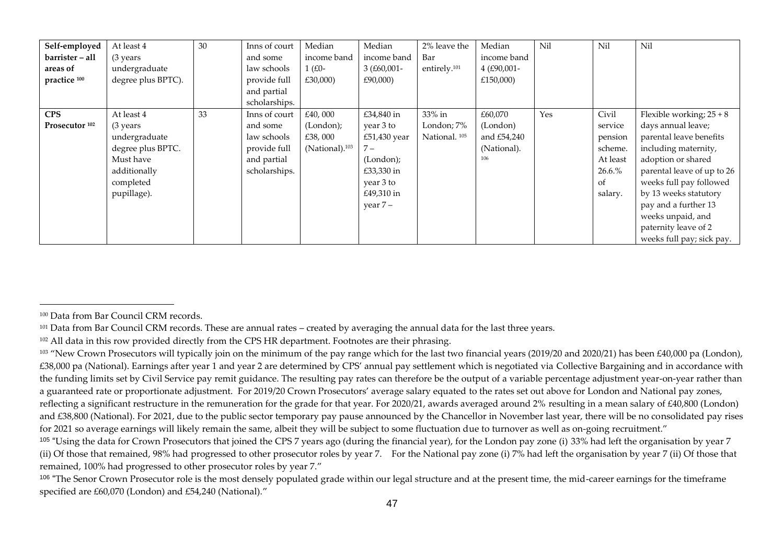| Self-employed             | At least 4          | 30 | Inns of court | Median                     | Median       | 2% leave the             | Median      | Nil | Nil      | Nil                        |
|---------------------------|---------------------|----|---------------|----------------------------|--------------|--------------------------|-------------|-----|----------|----------------------------|
| barrister - all           | $(3 \text{ years})$ |    | and some      | income band                | income band  | Bar                      | income band |     |          |                            |
| areas of                  | undergraduate       |    | law schools   | $1$ (£0-                   | $3(£60,001-$ | entirely. <sup>101</sup> | 4 (£90,001- |     |          |                            |
| practice 100              | degree plus BPTC).  |    | provide full  | £30,000)                   | £90,000)     |                          | £150,000)   |     |          |                            |
|                           |                     |    | and partial   |                            |              |                          |             |     |          |                            |
|                           |                     |    | scholarships. |                            |              |                          |             |     |          |                            |
| <b>CPS</b>                | At least 4          | 33 | Inns of court | £40,000                    | £34,840 in   | 33% in                   | £60,070     | Yes | Civil    | Flexible working; $25+8$   |
| Prosecutor <sup>102</sup> | $(3 \text{ years})$ |    | and some      | (London);                  | year 3 to    | London; 7%               | (London)    |     | service  | days annual leave;         |
|                           | undergraduate       |    | law schools   | £38,000                    | £51,430 year | National. <sup>105</sup> | and £54,240 |     | pension  | parental leave benefits    |
|                           | degree plus BPTC.   |    | provide full  | (National). <sup>103</sup> | $7 -$        |                          | (National). |     | scheme.  | including maternity,       |
|                           | Must have           |    | and partial   |                            | (London);    |                          | 106         |     | At least | adoption or shared         |
|                           | additionally        |    | scholarships. |                            | £33,330 in   |                          |             |     | 26.6.%   | parental leave of up to 26 |
|                           | completed           |    |               |                            | year 3 to    |                          |             |     | of       | weeks full pay followed    |
|                           | pupillage).         |    |               |                            | £49,310 in   |                          |             |     | salary.  | by 13 weeks statutory      |
|                           |                     |    |               |                            | year $7-$    |                          |             |     |          | pay and a further 13       |
|                           |                     |    |               |                            |              |                          |             |     |          | weeks unpaid, and          |
|                           |                     |    |               |                            |              |                          |             |     |          | paternity leave of 2       |
|                           |                     |    |               |                            |              |                          |             |     |          | weeks full pay; sick pay.  |

<sup>100</sup> Data from Bar Council CRM records.

<sup>&</sup>lt;sup>101</sup> Data from Bar Council CRM records. These are annual rates – created by averaging the annual data for the last three years.

<sup>&</sup>lt;sup>102</sup> All data in this row provided directly from the CPS HR department. Footnotes are their phrasing.

 $103$  "New Crown Prosecutors will typically join on the minimum of the pay range which for the last two financial years (2019/20 and 2020/21) has been £40,000 pa (London), £38,000 pa (National). Earnings after year 1 and year 2 are determined by CPS' annual pay settlement which is negotiated via Collective Bargaining and in accordance with the funding limits set by Civil Service pay remit guidance. The resulting pay rates can therefore be the output of a variable percentage adjustment year-on-year rather than a guaranteed rate or proportionate adjustment. For 2019/20 Crown Prosecutors' average salary equated to the rates set out above for London and National pay zones, reflecting a significant restructure in the remuneration for the grade for that year. For 2020/21, awards averaged around 2% resulting in a mean salary of £40,800 (London) and £38,800 (National). For 2021, due to the public sector temporary pay pause announced by the Chancellor in November last year, there will be no consolidated pay rises for 2021 so average earnings will likely remain the same, albeit they will be subject to some fluctuation due to turnover as well as on-going recruitment."

<sup>&</sup>lt;sup>105</sup> "Using the data for Crown Prosecutors that joined the CPS 7 years ago (during the financial year), for the London pay zone (i) 33% had left the organisation by year 7 (ii) Of those that remained, 98% had progressed to other prosecutor roles by year 7. For the National pay zone (i) 7% had left the organisation by year 7 (ii) Of those that remained, 100% had progressed to other prosecutor roles by year 7."

<sup>&</sup>lt;sup>106</sup> "The Senor Crown Prosecutor role is the most densely populated grade within our legal structure and at the present time, the mid-career earnings for the timeframe specified are £60,070 (London) and £54,240 (National)."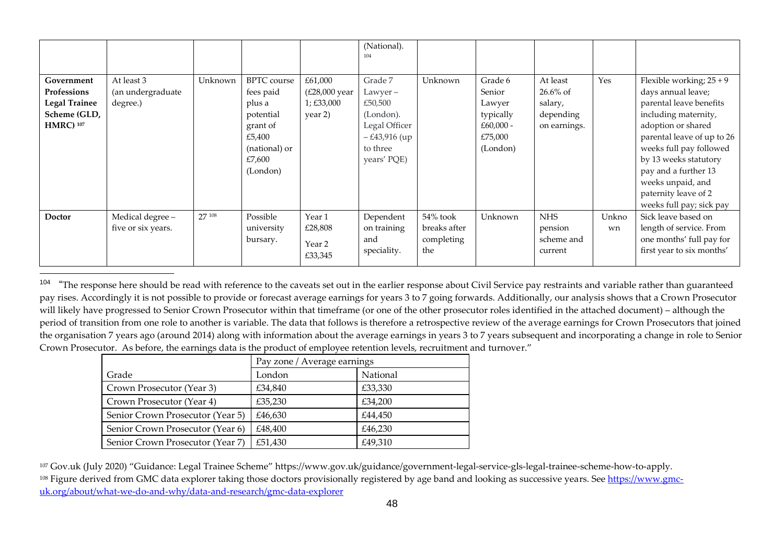|                                                                                        |                                             |         |                                                                                                                     |                                                             | (National).<br>104                                                                                          |                                               |                                                                                |                                                                 |             |                                                                                                                                                                                                                                                                                                            |
|----------------------------------------------------------------------------------------|---------------------------------------------|---------|---------------------------------------------------------------------------------------------------------------------|-------------------------------------------------------------|-------------------------------------------------------------------------------------------------------------|-----------------------------------------------|--------------------------------------------------------------------------------|-----------------------------------------------------------------|-------------|------------------------------------------------------------------------------------------------------------------------------------------------------------------------------------------------------------------------------------------------------------------------------------------------------------|
| Government<br>Professions<br><b>Legal Trainee</b><br>Scheme (GLD,<br><b>HMRC</b> ) 107 | At least 3<br>(an undergraduate<br>degree.) | Unknown | <b>BPTC</b> course<br>fees paid<br>plus a<br>potential<br>grant of<br>£5,400<br>(national) or<br>£7,600<br>(London) | £61,000<br>$(E28,000$ year<br>$1; \pounds33,000$<br>year 2) | Grade 7<br>$Lawyer -$<br>£50,500<br>(London).<br>Legal Officer<br>$-£43,916$ (up<br>to three<br>years' PQE) | Unknown                                       | Grade 6<br>Senior<br>Lawyer<br>typically<br>$£60,000 -$<br>£75,000<br>(London) | At least<br>$26.6\%$ of<br>salary,<br>depending<br>on earnings. | Yes         | Flexible working; $25+9$<br>days annual leave;<br>parental leave benefits<br>including maternity,<br>adoption or shared<br>parental leave of up to 26<br>weeks full pay followed<br>by 13 weeks statutory<br>pay and a further 13<br>weeks unpaid, and<br>paternity leave of 2<br>weeks full pay; sick pay |
| <b>Doctor</b>                                                                          | Medical degree-<br>five or six years.       | 27 108  | Possible<br>university<br>bursary.                                                                                  | Year 1<br>£28,808<br>Year 2<br>£33,345                      | Dependent<br>on training<br>and<br>speciality.                                                              | 54% took<br>breaks after<br>completing<br>the | Unknown                                                                        | <b>NHS</b><br>pension<br>scheme and<br>current                  | Unkno<br>wn | Sick leave based on<br>length of service. From<br>one months' full pay for<br>first year to six months'                                                                                                                                                                                                    |

104 "The response here should be read with reference to the caveats set out in the earlier response about Civil Service pay restraints and variable rather than guaranteed pay rises. Accordingly it is not possible to provide or forecast average earnings for years 3 to 7 going forwards. Additionally, our analysis shows that a Crown Prosecutor will likely have progressed to Senior Crown Prosecutor within that timeframe (or one of the other prosecutor roles identified in the attached document) – although the period of transition from one role to another is variable. The data that follows is therefore a retrospective review of the average earnings for Crown Prosecutors that joined the organisation 7 years ago (around 2014) along with information about the average earnings in years 3 to 7 years subsequent and incorporating a change in role to Senior Crown Prosecutor. As before, the earnings data is the product of employee retention levels, recruitment and turnover."

|                                  | Pay zone / Average earnings |          |  |  |  |  |
|----------------------------------|-----------------------------|----------|--|--|--|--|
| Grade                            | London                      | National |  |  |  |  |
| Crown Prosecutor (Year 3)        | £34,840                     | £33,330  |  |  |  |  |
| Crown Prosecutor (Year 4)        | £35,230                     | £34,200  |  |  |  |  |
| Senior Crown Prosecutor (Year 5) | £46,630                     | £44,450  |  |  |  |  |
| Senior Crown Prosecutor (Year 6) | £48,400                     | £46,230  |  |  |  |  |
| Senior Crown Prosecutor (Year 7) | £51,430                     | £49,310  |  |  |  |  |

<sup>107</sup> Gov.uk (July 2020) "Guidance: Legal Trainee Scheme" https://www.gov.uk/guidance/government-legal-service-gls-legal-trainee-scheme-how-to-apply. <sup>108</sup> Figure derived from GMC data explorer taking those doctors provisionally registered by age band and looking as successive years. See [https://www.gmc](https://www.gmc-uk.org/about/what-we-do-and-why/data-and-research/gmc-data-explorer)[uk.org/about/what-we-do-and-why/data-and-research/gmc-data-explorer](https://www.gmc-uk.org/about/what-we-do-and-why/data-and-research/gmc-data-explorer)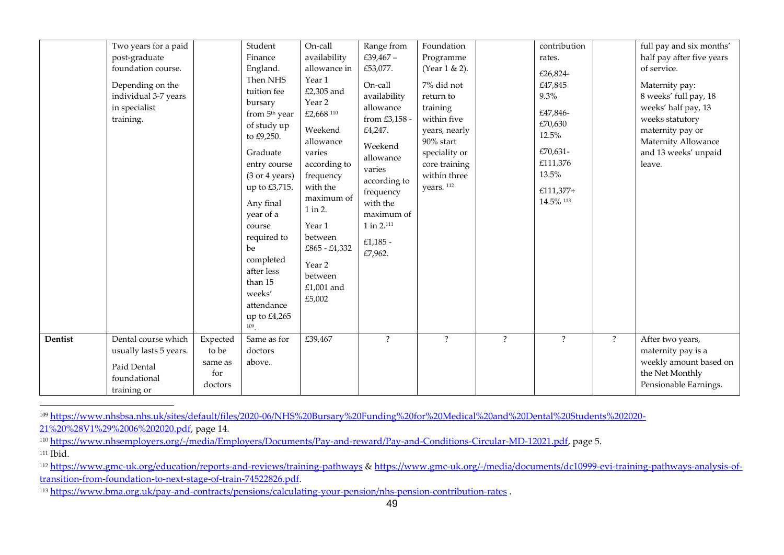|         | Two years for a paid<br>post-graduate<br>foundation course.<br>Depending on the<br>individual 3-7 years<br>in specialist<br>training. |                                                | Student<br>Finance<br>England.<br>Then NHS<br>tuition fee<br>bursary<br>from 5 <sup>th</sup> year<br>of study up<br>to £9,250.<br>Graduate<br>entry course<br>(3 or 4 years)<br>up to £3,715.<br>Any final<br>year of a<br>course<br>required to<br>be<br>completed<br>after less<br>than 15<br>weeks'<br>attendance<br>up to £4,265<br>109 | On-call<br>availability<br>allowance in<br>Year 1<br>£2,305 and<br>Year 2<br>£2,668 110<br>Weekend<br>allowance<br>varies<br>according to<br>frequency<br>with the<br>maximum of<br>1 in 2.<br>Year 1<br>between<br>£865 - £4,332<br>Year 2<br>between<br>£1,001 and<br>£5,002 | Range from<br>£39,467-<br>£53,077.<br>On-call<br>availability<br>allowance<br>from £3,158 -<br>£4,247.<br>Weekend<br>allowance<br>varies<br>according to<br>frequency<br>with the<br>maximum of<br>$1$ in $2.^{111}$<br>£1,185 $-$<br>£7,962. | Foundation<br>Programme<br>(Year 1 & 2).<br>7% did not<br>return to<br>training<br>within five<br>years, nearly<br>90% start<br>speciality or<br>core training<br>within three<br>years. 112 |                          | contribution<br>rates.<br>£26,824-<br>£47,845<br>9.3%<br>£47,846-<br>£70,630<br>12.5%<br>£70,631-<br>£111,376<br>13.5%<br>£111,377+<br>14.5% 113 |                    | full pay and six months'<br>half pay after five years<br>of service.<br>Maternity pay:<br>8 weeks' full pay, 18<br>weeks' half pay, 13<br>weeks statutory<br>maternity pay or<br>Maternity Allowance<br>and 13 weeks' unpaid<br>leave. |
|---------|---------------------------------------------------------------------------------------------------------------------------------------|------------------------------------------------|---------------------------------------------------------------------------------------------------------------------------------------------------------------------------------------------------------------------------------------------------------------------------------------------------------------------------------------------|--------------------------------------------------------------------------------------------------------------------------------------------------------------------------------------------------------------------------------------------------------------------------------|-----------------------------------------------------------------------------------------------------------------------------------------------------------------------------------------------------------------------------------------------|----------------------------------------------------------------------------------------------------------------------------------------------------------------------------------------------|--------------------------|--------------------------------------------------------------------------------------------------------------------------------------------------|--------------------|----------------------------------------------------------------------------------------------------------------------------------------------------------------------------------------------------------------------------------------|
| Dentist | Dental course which<br>usually lasts 5 years.<br>Paid Dental<br>foundational<br>training or                                           | Expected<br>to be<br>same as<br>for<br>doctors | Same as for<br>doctors<br>above.                                                                                                                                                                                                                                                                                                            | £39,467                                                                                                                                                                                                                                                                        | $\ddot{?}$                                                                                                                                                                                                                                    | $\ddot{?}$                                                                                                                                                                                   | $\overline{\mathcal{E}}$ | $\overline{?}$                                                                                                                                   | $\overline{\cdot}$ | After two years,<br>maternity pay is a<br>weekly amount based on<br>the Net Monthly<br>Pensionable Earnings.                                                                                                                           |

<sup>109</sup> [https://www.nhsbsa.nhs.uk/sites/default/files/2020-06/NHS%20Bursary%20Funding%20for%20Medical%20and%20Dental%20Students%202020-](https://www.nhsbsa.nhs.uk/sites/default/files/2020-06/NHS%20Bursary%20Funding%20for%20Medical%20and%20Dental%20Students%202020-21%20%28V1%29%2006%202020.pdf)

[21%20%28V1%29%2006%202020.pdf,](https://www.nhsbsa.nhs.uk/sites/default/files/2020-06/NHS%20Bursary%20Funding%20for%20Medical%20and%20Dental%20Students%202020-21%20%28V1%29%2006%202020.pdf) page 14.

<sup>110</sup> [https://www.nhsemployers.org/-/media/Employers/Documents/Pay-and-reward/Pay-and-Conditions-Circular-MD-12021.pdf,](https://www.nhsemployers.org/-/media/Employers/Documents/Pay-and-reward/Pay-and-Conditions-Circular-MD-12021.pdf) page 5.  $111$  Ibid.

<sup>112</sup> <https://www.gmc-uk.org/education/reports-and-reviews/training-pathways> & [https://www.gmc-uk.org/-/media/documents/dc10999-evi-training-pathways-analysis-of](https://www.gmc-uk.org/-/media/documents/dc10999-evi-training-pathways-analysis-of-transition-from-foundation-to-next-stage-of-train-74522826.pdf)[transition-from-foundation-to-next-stage-of-train-74522826.pdf.](https://www.gmc-uk.org/-/media/documents/dc10999-evi-training-pathways-analysis-of-transition-from-foundation-to-next-stage-of-train-74522826.pdf)

<sup>113</sup> <https://www.bma.org.uk/pay-and-contracts/pensions/calculating-your-pension/nhs-pension-contribution-rates> .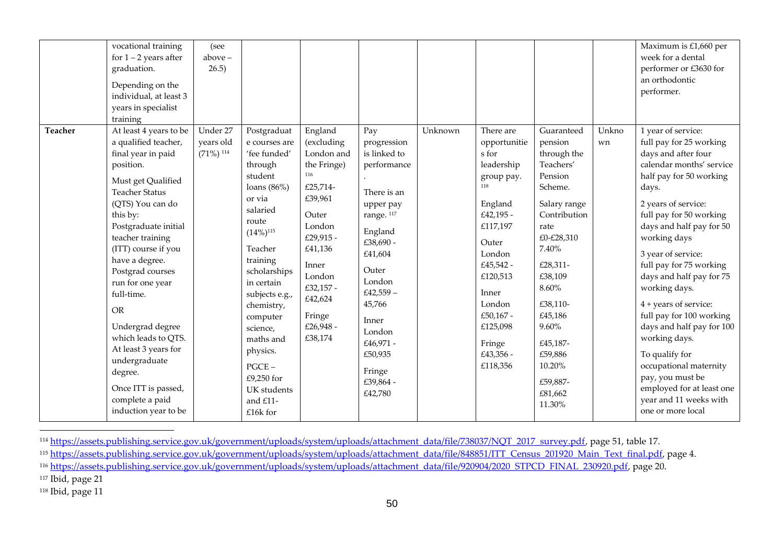|         | vocational training<br>for $1 - 2$ years after<br>graduation.<br>Depending on the<br>individual, at least 3<br>years in specialist<br>training                                                                                                                                                                                                                                                                                                                                            | (see<br>$above -$<br>26.5)                       |                                                                                                                                                                                                                                                                                                                                                       |                                                                                                                                                                                                          |                                                                                                                                                                                                                                                                    |         |                                                                                                                                                                                                                                      |                                                                                                                                                                                                                                                                          |             | Maximum is £1,660 per<br>week for a dental<br>performer or £3630 for<br>an orthodontic<br>performer.                                                                                                                                                                                                                                                                                                                                                                                                                                                                            |
|---------|-------------------------------------------------------------------------------------------------------------------------------------------------------------------------------------------------------------------------------------------------------------------------------------------------------------------------------------------------------------------------------------------------------------------------------------------------------------------------------------------|--------------------------------------------------|-------------------------------------------------------------------------------------------------------------------------------------------------------------------------------------------------------------------------------------------------------------------------------------------------------------------------------------------------------|----------------------------------------------------------------------------------------------------------------------------------------------------------------------------------------------------------|--------------------------------------------------------------------------------------------------------------------------------------------------------------------------------------------------------------------------------------------------------------------|---------|--------------------------------------------------------------------------------------------------------------------------------------------------------------------------------------------------------------------------------------|--------------------------------------------------------------------------------------------------------------------------------------------------------------------------------------------------------------------------------------------------------------------------|-------------|---------------------------------------------------------------------------------------------------------------------------------------------------------------------------------------------------------------------------------------------------------------------------------------------------------------------------------------------------------------------------------------------------------------------------------------------------------------------------------------------------------------------------------------------------------------------------------|
| Teacher | At least 4 years to be<br>a qualified teacher,<br>final year in paid<br>position.<br>Must get Qualified<br><b>Teacher Status</b><br>(QTS) You can do<br>this by:<br>Postgraduate initial<br>teacher training<br>(ITT) course if you<br>have a degree.<br>Postgrad courses<br>run for one year<br>full-time.<br><b>OR</b><br>Undergrad degree<br>which leads to QTS.<br>At least 3 years for<br>undergraduate<br>degree.<br>Once ITT is passed,<br>complete a paid<br>induction year to be | Under 27<br>years old<br>$(71\%)$ <sup>114</sup> | Postgraduat<br>e courses are<br>'fee funded'<br>through<br>student<br>loans $(86\%)$<br>or via<br>salaried<br>route<br>$(14\%)$ <sup>115</sup><br>Teacher<br>training<br>scholarships<br>in certain<br>subjects e.g.,<br>chemistry,<br>computer<br>science,<br>maths and<br>physics.<br>$PGCE -$<br>£9,250 for<br>UK students<br>and £11-<br>£16k for | England<br>(excluding<br>London and<br>the Fringe)<br>116<br>£25,714-<br>£39,961<br>Outer<br>London<br>£29,915 -<br>£41,136<br>Inner<br>London<br>£32,157 -<br>£42,624<br>Fringe<br>£26,948 -<br>£38,174 | Pay<br>progression<br>is linked to<br>performance<br>There is an<br>upper pay<br>range. <sup>117</sup><br>England<br>£38,690 -<br>£41,604<br>Outer<br>London<br>£42,559 $-$<br>45,766<br>Inner<br>London<br>£46,971 -<br>£50,935<br>Fringe<br>£39,864 -<br>£42,780 | Unknown | There are<br>opportunitie<br>s for<br>leadership<br>group pay.<br>118<br>England<br>£42,195 -<br>£117,197<br>Outer<br>London<br>£45,542 -<br>£120,513<br>Inner<br>London<br>£50,167 -<br>£125,098<br>Fringe<br>£43,356 -<br>£118,356 | Guaranteed<br>pension<br>through the<br>Teachers'<br>Pension<br>Scheme.<br>Salary range<br>Contribution<br>rate<br>£0-£28,310<br>7.40%<br>£28,311-<br>£38,109<br>8.60%<br>£38,110-<br>£45,186<br>9.60%<br>£45,187-<br>£59,886<br>10.20%<br>£59,887-<br>£81,662<br>11.30% | Unkno<br>wn | 1 year of service:<br>full pay for 25 working<br>days and after four<br>calendar months' service<br>half pay for 50 working<br>days.<br>2 years of service:<br>full pay for 50 working<br>days and half pay for 50<br>working days<br>3 year of service:<br>full pay for 75 working<br>days and half pay for 75<br>working days.<br>4 + years of service:<br>full pay for 100 working<br>days and half pay for 100<br>working days.<br>To qualify for<br>occupational maternity<br>pay, you must be<br>employed for at least one<br>year and 11 weeks with<br>one or more local |

<sup>114</sup> [https://assets.publishing.service.gov.uk/government/uploads/system/uploads/attachment\\_data/file/738037/NQT\\_2017\\_survey.pdf,](https://assets.publishing.service.gov.uk/government/uploads/system/uploads/attachment_data/file/738037/NQT_2017_survey.pdf) page 51, table 17.

<sup>115</sup> [https://assets.publishing.service.gov.uk/government/uploads/system/uploads/attachment\\_data/file/848851/ITT\\_Census\\_201920\\_Main\\_Text\\_final.pdf,](https://assets.publishing.service.gov.uk/government/uploads/system/uploads/attachment_data/file/848851/ITT_Census_201920_Main_Text_final.pdf) page 4.

<sup>116</sup> [https://assets.publishing.service.gov.uk/government/uploads/system/uploads/attachment\\_data/file/920904/2020\\_STPCD\\_FINAL\\_230920.pdf,](https://assets.publishing.service.gov.uk/government/uploads/system/uploads/attachment_data/file/920904/2020_STPCD_FINAL_230920.pdf) page 20.

 $117$  Ibid, page 21

<sup>118</sup> Ibid, page 11